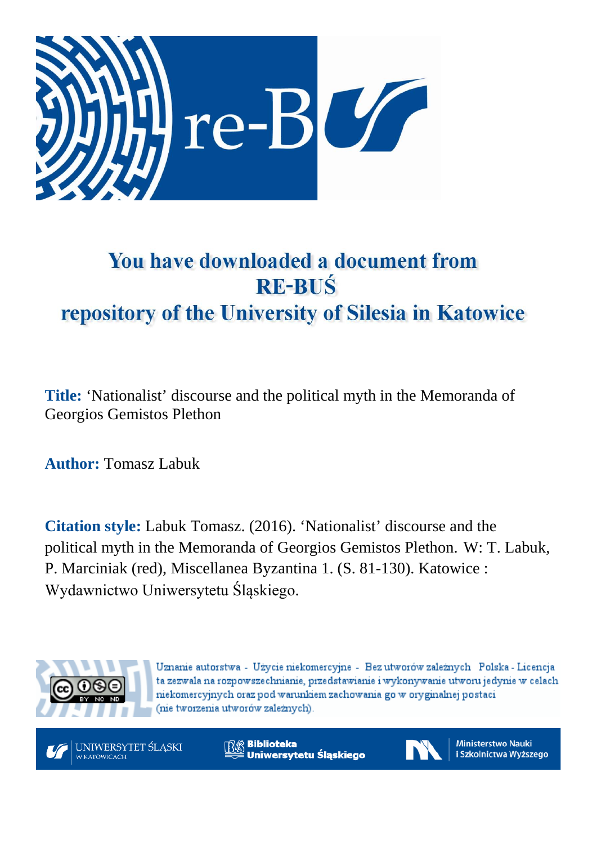

# You have downloaded a document from **RE-BUŚ** repository of the University of Silesia in Katowice

**Title:** 'Nationalist' discourse and the political myth in the Memoranda of Georgios Gemistos Plethon

**Author:** Tomasz Labuk

**Citation style:** Labuk Tomasz. (2016). 'Nationalist' discourse and the political myth in the Memoranda of Georgios Gemistos Plethon. W: T. Labuk, P. Marciniak (red), Miscellanea Byzantina 1. (S. 81-130). Katowice : Wydawnictwo Uniwersytetu Śląskiego.



Uznanie autorstwa - Użycie niekomercyjne - Bez utworów zależnych Polska - Licencja ta zezwala na rozpowszechnianie, przedstawianie i wykonywanie utworu jedynie w celach niekomercyjnych oraz pod warunkiem zachowania go w oryginalnej postaci (nie tworzenia utworów zależnych).



**Biblioteka** Uniwersytetu Śląskiego



**Ministerstwo Nauki** i Szkolnictwa Wyższego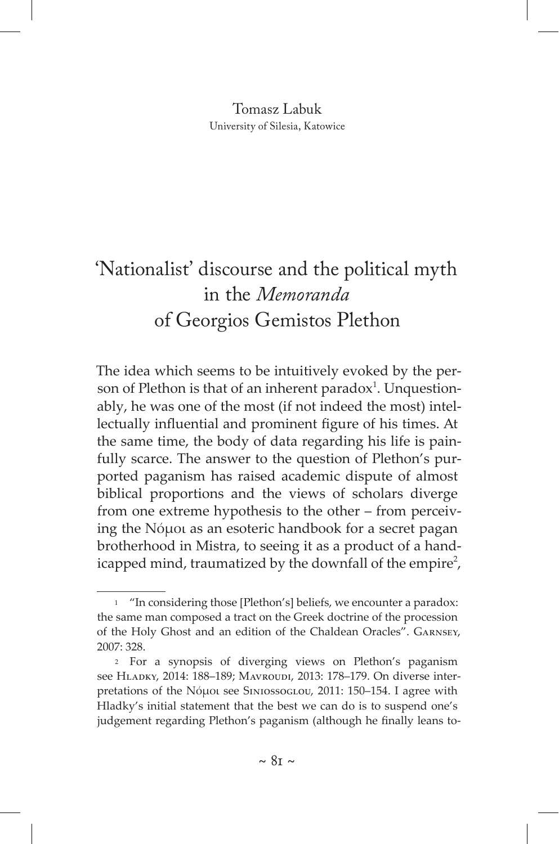#### Tomasz Labuk University of Silesia, Katowice

# 'Nationalist' discourse and the political myth in the *Memoranda* of Georgios Gemistos Plethon

The idea which seems to be intuitively evoked by the person of Plethon is that of an inherent paradox<sup>1</sup>. Unquestionably, he was one of the most (if not indeed the most) intellectually influential and prominent figure of his times. At the same time, the body of data regarding his life is painfully scarce. The answer to the question of Plethon's purported paganism has raised academic dispute of almost biblical proportions and the views of scholars diverge from one extreme hypothesis to the other – from perceiving the Νόμοι as an esoteric handbook for a secret pagan brotherhood in Mistra, to seeing it as a product of a handicapped mind, traumatized by the downfall of the empire<sup>2</sup>,

<sup>1</sup> "In considering those [Plethon's] beliefs, we encounter a paradox: the same man composed a tract on the Greek doctrine of the procession of the Holy Ghost and an edition of the Chaldean Oracles". Garnsey, 2007: 328.

<sup>2</sup> For a synopsis of diverging views on Plethon's paganism see Hladky, 2014: 188–189; Mavroudi, 2013: 178–179. On diverse interpretations of the Νόμοι see Siniossoglou, 2011: 150–154. I agree with Hladky's initial statement that the best we can do is to suspend one's judgement regarding Plethon's paganism (although he finally leans to-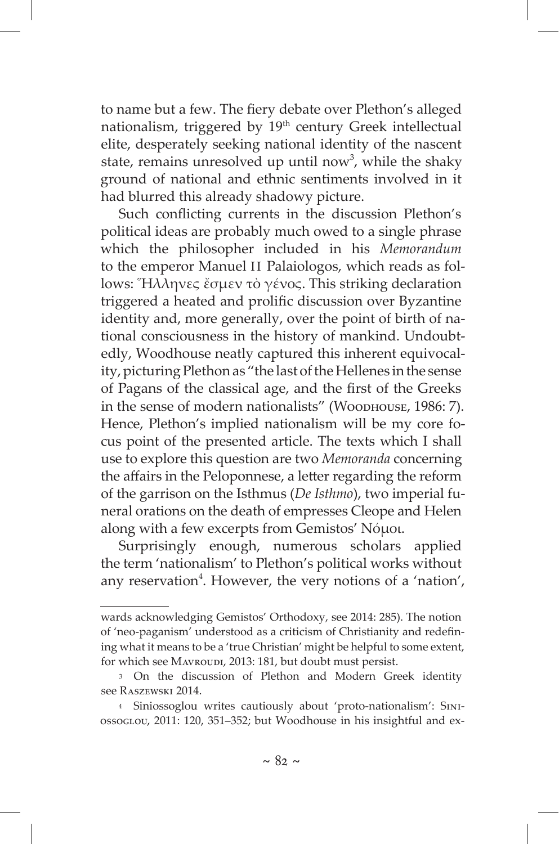to name but a few. The fiery debate over Plethon's alleged nationalism, triggered by 19<sup>th</sup> century Greek intellectual elite, desperately seeking national identity of the nascent state, remains unresolved up until now<sup>3</sup>, while the shaky ground of national and ethnic sentiments involved in it had blurred this already shadowy picture.

Such conflicting currents in the discussion Plethon's political ideas are probably much owed to a single phrase which the philosopher included in his *Memorandum* to the emperor Manuel II Palaiologos, which reads as follows: Ἥλληνες ἔσμεν τὸ γένος. This striking declaration triggered a heated and prolific discussion over Byzantine identity and, more generally, over the point of birth of national consciousness in the history of mankind. Undoubtedly, Woodhouse neatly captured this inherent equivocality, picturing Plethon as "the last of the Hellenes in the sense of Pagans of the classical age, and the first of the Greeks in the sense of modern nationalists" (Wоорноusе, 1986: 7). Hence, Plethon's implied nationalism will be my core focus point of the presented article. The texts which I shall use to explore this question are two *Memoranda* concerning the affairs in the Peloponnese, a letter regarding the reform of the garrison on the Isthmus (*De Isthmo*), two imperial funeral orations on the death of empresses Cleope and Helen along with a few excerpts from Gemistos' Νόμοι.

Surprisingly enough, numerous scholars applied the term 'nationalism' to Plethon's political works without any reservation<sup>4</sup>. However, the very notions of a 'nation',

wards acknowledging Gemistos' Orthodoxy, see 2014: 285). The notion of 'neo-paganism' understood as a criticism of Christianity and redefining what it means to be a 'true Christian' might be helpful to some extent, for which see Mavroupi, 2013: 181, but doubt must persist.

<sup>3</sup> On the discussion of Plethon and Modern Greek identity see Raszewski 2014.

<sup>4</sup> Siniossoglou writes cautiously about 'proto-nationalism': Siniossoglou, 2011: 120, 351–352; but Woodhouse in his insightful and ex-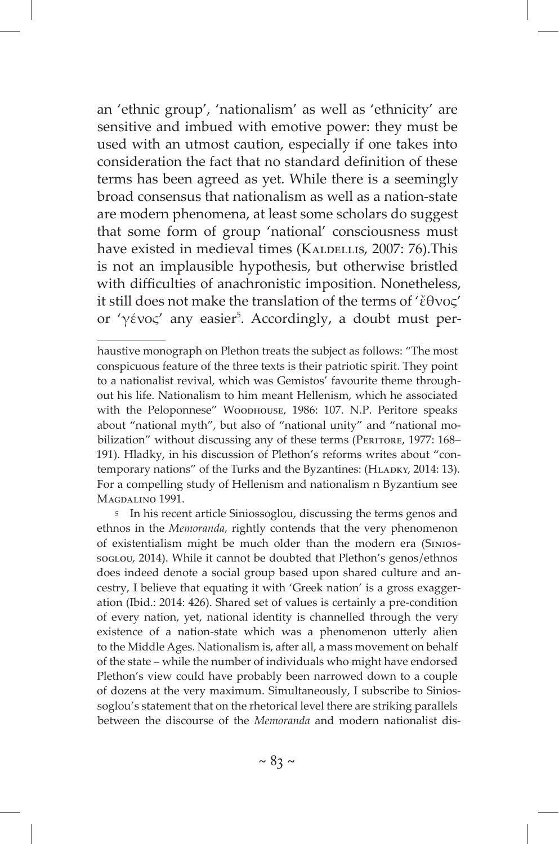an 'ethnic group', 'nationalism' as well as 'ethnicity' are sensitive and imbued with emotive power: they must be used with an utmost caution, especially if one takes into consideration the fact that no standard definition of these terms has been agreed as yet. While there is a seemingly broad consensus that nationalism as well as a nation-state are modern phenomena, at least some scholars do suggest that some form of group 'national' consciousness must have existed in medieval times (KALDELLIS, 2007: 76).This is not an implausible hypothesis, but otherwise bristled with difficulties of anachronistic imposition. Nonetheless, it still does not make the translation of the terms of 'ἔθνος' or 'γένος' any easier<sup>5</sup>. Accordingly, a doubt must per-

5 In his recent article Siniossoglou, discussing the terms genos and ethnos in the *Memoranda*, rightly contends that the very phenomenon of existentialism might be much older than the modern era (SiniossogLou, 2014). While it cannot be doubted that Plethon's genos/ethnos does indeed denote a social group based upon shared culture and ancestry, I believe that equating it with 'Greek nation' is a gross exaggeration (Ibid.: 2014: 426). Shared set of values is certainly a pre-condition of every nation, yet, national identity is channelled through the very existence of a nation-state which was a phenomenon utterly alien to the Middle Ages. Nationalism is, after all, a mass movement on behalf of the state – while the number of individuals who might have endorsed Plethon's view could have probably been narrowed down to a couple of dozens at the very maximum. Simultaneously, I subscribe to Siniossoglou's statement that on the rhetorical level there are striking parallels between the discourse of the *Memoranda* and modern nationalist dis-

haustive monograph on Plethon treats the subject as follows: "The most conspicuous feature of the three texts is their patriotic spirit. They point to a nationalist revival, which was Gemistos' favourite theme throughout his life. Nationalism to him meant Hellenism, which he associated with the Peloponnese" Woodhouse, 1986: 107. N.P. Peritore speaks about "national myth", but also of "national unity" and "national mobilization" without discussing any of these terms (PERITORE, 1977: 168– 191). Hladky, in his discussion of Plethon's reforms writes about "contemporary nations" of the Turks and the Byzantines: (HLADKY, 2014: 13). For a compelling study of Hellenism and nationalism n Byzantium see MAGDALINO 1991.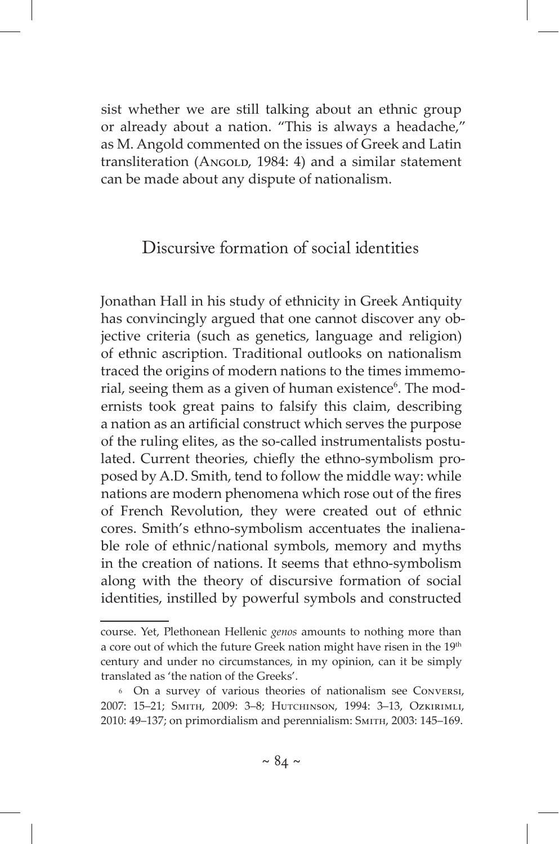sist whether we are still talking about an ethnic group or already about a nation. "This is always a headache," as M. Angold commented on the issues of Greek and Latin transliteration (ANGOLD, 1984: 4) and a similar statement can be made about any dispute of nationalism.

# Discursive formation of social identities

Jonathan Hall in his study of ethnicity in Greek Antiquity has convincingly argued that one cannot discover any objective criteria (such as genetics, language and religion) of ethnic ascription. Traditional outlooks on nationalism traced the origins of modern nations to the times immemorial, seeing them as a given of human existence<sup>6</sup>. The modernists took great pains to falsify this claim, describing a nation as an artificial construct which serves the purpose of the ruling elites, as the so-called instrumentalists postulated. Current theories, chiefly the ethno-symbolism proposed by A.D. Smith, tend to follow the middle way: while nations are modern phenomena which rose out of the fires of French Revolution, they were created out of ethnic cores. Smith's ethno-symbolism accentuates the inalienable role of ethnic/national symbols, memory and myths in the creation of nations. It seems that ethno-symbolism along with the theory of discursive formation of social identities, instilled by powerful symbols and constructed

course. Yet, Plethonean Hellenic *genos* amounts to nothing more than a core out of which the future Greek nation might have risen in the 19<sup>th</sup> century and under no circumstances, in my opinion, can it be simply translated as 'the nation of the Greeks'.

<sup>6</sup> On a survey of various theories of nationalism see Conversi, 2007: 15–21; Smith, 2009: 3–8; Hutchinson, 1994: 3–13, Ozkirimli, 2010: 49–137; on primordialism and perennialism: Smith, 2003: 145–169.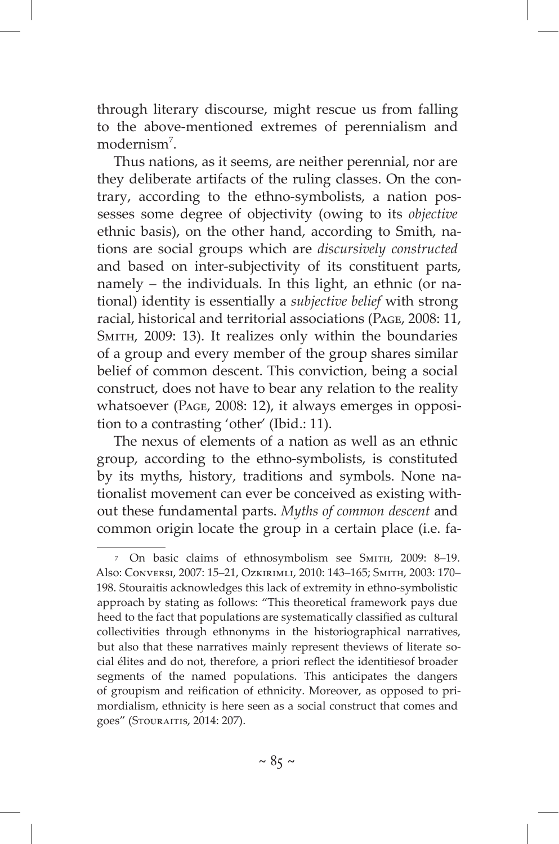through literary discourse, might rescue us from falling to the above-mentioned extremes of perennialism and modernism<sup>7</sup>.

Thus nations, as it seems, are neither perennial, nor are they deliberate artifacts of the ruling classes. On the contrary, according to the ethno-symbolists, a nation possesses some degree of objectivity (owing to its *objective* ethnic basis), on the other hand, according to Smith, nations are social groups which are *discursively constructed* and based on inter-subjectivity of its constituent parts, namely – the individuals. In this light, an ethnic (or national) identity is essentially a *subjective belief* with strong racial, historical and territorial associations (Page, 2008: 11, SMITH, 2009: 13). It realizes only within the boundaries of a group and every member of the group shares similar belief of common descent. This conviction, being a social construct, does not have to bear any relation to the reality whatsoever (PAGE, 2008: 12), it always emerges in opposition to a contrasting 'other' (Ibid.: 11).

The nexus of elements of a nation as well as an ethnic group, according to the ethno-symbolists, is constituted by its myths, history, traditions and symbols. None nationalist movement can ever be conceived as existing without these fundamental parts. *Myths of common descent* and common origin locate the group in a certain place (i.e. fa-

<sup>7</sup> On basic claims of ethnosymbolism see Smith, 2009: 8–19. Also: Conversi, 2007: 15–21, Ozkirimli, 2010: 143–165; Smith, 2003: 170– 198. Stouraitis acknowledges this lack of extremity in ethno-symbolistic approach by stating as follows: "This theoretical framework pays due heed to the fact that populations are systematically classified as cultural collectivities through ethnonyms in the historiographical narratives, but also that these narratives mainly represent theviews of literate social élites and do not, therefore, a priori reflect the identitiesof broader segments of the named populations. This anticipates the dangers of groupism and reification of ethnicity. Moreover, as opposed to primordialism, ethnicity is here seen as a social construct that comes and goes" (Stouraitis, 2014: 207).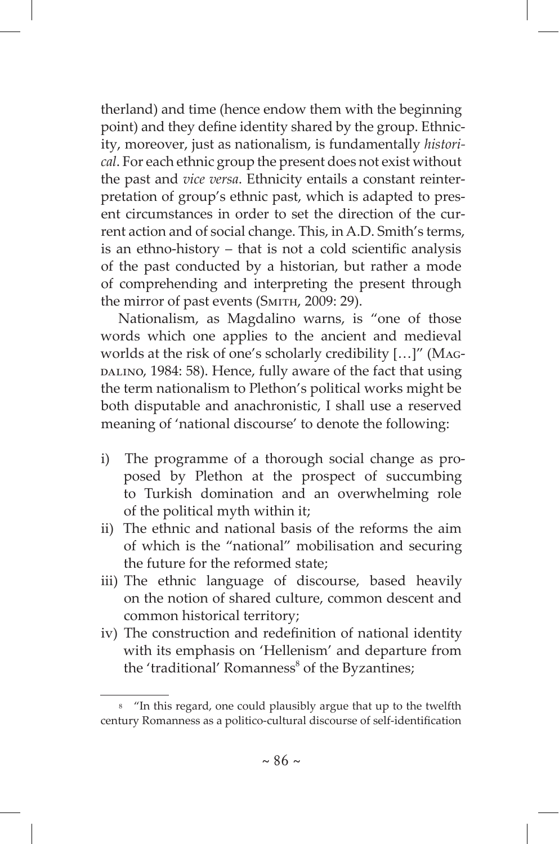therland) and time (hence endow them with the beginning point) and they define identity shared by the group. Ethnicity, moreover, just as nationalism, is fundamentally *historical*. For each ethnic group the present does not exist without the past and *vice versa*. Ethnicity entails a constant reinterpretation of group's ethnic past, which is adapted to present circumstances in order to set the direction of the current action and of social change. This, in A.D. Smith's terms, is an ethno-history – that is not a cold scientific analysis of the past conducted by a historian, but rather a mode of comprehending and interpreting the present through the mirror of past events (SMITH, 2009: 29).

Nationalism, as Magdalino warns, is "one of those words which one applies to the ancient and medieval worlds at the risk of one's scholarly credibility […]" (Mag-DALINO, 1984: 58). Hence, fully aware of the fact that using the term nationalism to Plethon's political works might be both disputable and anachronistic, I shall use a reserved meaning of 'national discourse' to denote the following:

- i) The programme of a thorough social change as proposed by Plethon at the prospect of succumbing to Turkish domination and an overwhelming role of the political myth within it;
- ii)  The ethnic and national basis of the reforms the aim of which is the "national" mobilisation and securing the future for the reformed state;
- iii) The ethnic language of discourse, based heavily on the notion of shared culture, common descent and common historical territory;
- iv) The construction and redefinition of national identity with its emphasis on 'Hellenism' and departure from the 'traditional' Romanness<sup>8</sup> of the Byzantines;

<sup>8 &</sup>quot;In this regard, one could plausibly argue that up to the twelfth century Romanness as a politico-cultural discourse of self-identification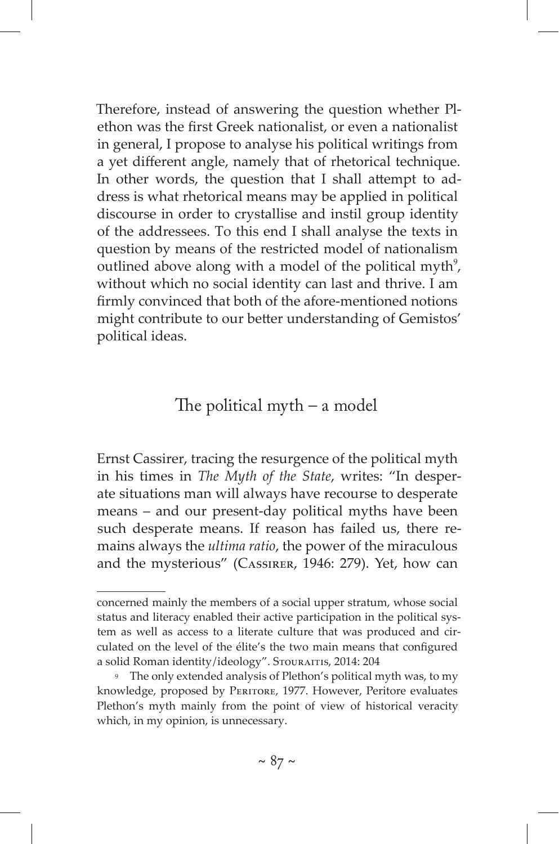Therefore, instead of answering the question whether Plethon was the first Greek nationalist, or even a nationalist in general, I propose to analyse his political writings from a yet different angle, namely that of rhetorical technique. In other words, the question that I shall attempt to address is what rhetorical means may be applied in political discourse in order to crystallise and instil group identity of the addressees. To this end I shall analyse the texts in question by means of the restricted model of nationalism outlined above along with a model of the political myth $\theta$ , without which no social identity can last and thrive. I am firmly convinced that both of the afore-mentioned notions might contribute to our better understanding of Gemistos' political ideas.

### The political myth – a model

Ernst Cassirer, tracing the resurgence of the political myth in his times in *The Myth of the State*, writes: "In desperate situations man will always have recourse to desperate means – and our present-day political myths have been such desperate means. If reason has failed us, there remains always the *ultima ratio*, the power of the miraculous and the mysterious" (Cassirer, 1946: 279). Yet, how can

concerned mainly the members of a social upper stratum, whose social status and literacy enabled their active participation in the political system as well as access to a literate culture that was produced and circulated on the level of the élite's the two main means that configured a solid Roman identity/ideology". STOURAITIS, 2014: 204

<sup>9</sup> The only extended analysis of Plethon's political myth was, to my knowledge, proposed by Peritore, 1977. However, Peritore evaluates Plethon's myth mainly from the point of view of historical veracity which, in my opinion, is unnecessary.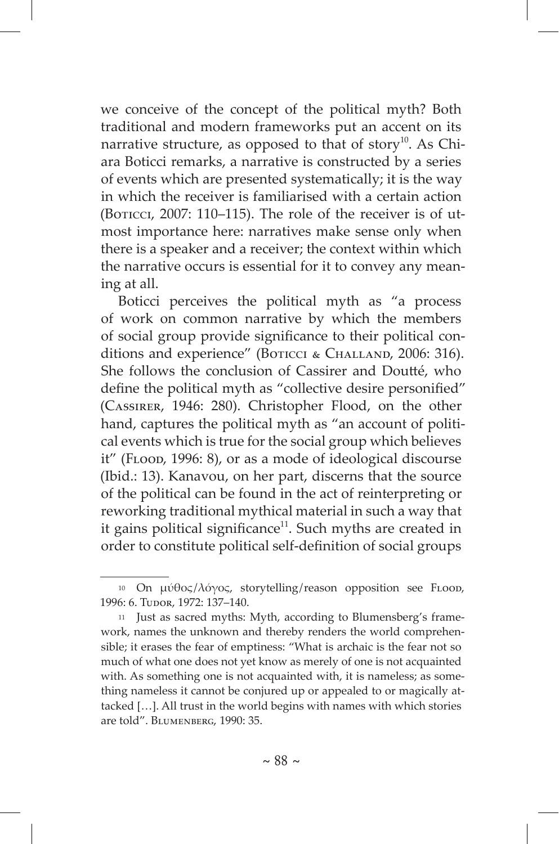we conceive of the concept of the political myth? Both traditional and modern frameworks put an accent on its narrative structure, as opposed to that of story<sup>10</sup>. As Chiara Boticci remarks, a narrative is constructed by a series of events which are presented systematically; it is the way in which the receiver is familiarised with a certain action (BOTICCI,  $2007$ : 110–115). The role of the receiver is of utmost importance here: narratives make sense only when there is a speaker and a receiver; the context within which the narrative occurs is essential for it to convey any meaning at all.

Boticci perceives the political myth as "a process of work on common narrative by which the members of social group provide significance to their political conditions and experience" (BOTICCI & CHALLAND, 2006: 316). She follows the conclusion of Cassirer and Doutté, who define the political myth as "collective desire personified" (Cassirer, 1946: 280). Christopher Flood, on the other hand, captures the political myth as "an account of political events which is true for the social group which believes it" (Flood, 1996: 8), or as a mode of ideological discourse (Ibid.: 13). Kanavou, on her part, discerns that the source of the political can be found in the act of reinterpreting or reworking traditional mythical material in such a way that it gains political significance $11$ . Such myths are created in order to constitute political self-definition of social groups

<sup>&</sup>lt;sup>10</sup> On μύθος/λόγος, storytelling/reason opposition see FLOOD, 1996: 6. TUDOR, 1972: 137-140.

<sup>11</sup> Just as sacred myths: Myth, according to Blumensberg's framework, names the unknown and thereby renders the world comprehensible; it erases the fear of emptiness: "What is archaic is the fear not so much of what one does not yet know as merely of one is not acquainted with. As something one is not acquainted with, it is nameless; as something nameless it cannot be conjured up or appealed to or magically attacked […]. All trust in the world begins with names with which stories are told". BLUMENBERG, 1990: 35.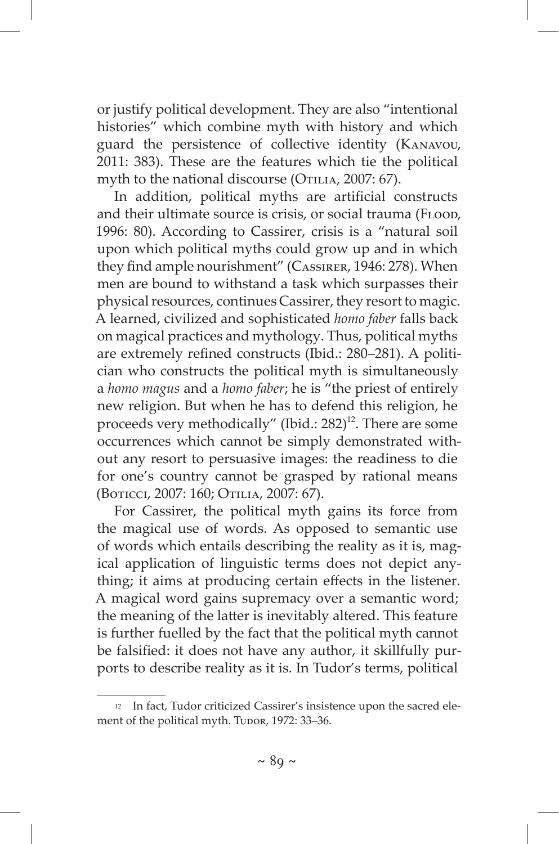or justify political development. They are also "intentional histories" which combine myth with history and which guard the persistence of collective identity (Kanavou, 2011: 383). These are the features which tie the political myth to the national discourse (OTILIA, 2007: 67).

In addition, political myths are artificial constructs and their ultimate source is crisis, or social trauma (FLOOD, 1996: 80). According to Cassirer, crisis is a "natural soil upon which political myths could grow up and in which they find ample nourishment" (Cassirer, 1946: 278). When men are bound to withstand a task which surpasses their physical resources, continues Cassirer, they resort to magic. A learned, civilized and sophisticated *homo faber* falls back on magical practices and mythology. Thus, political myths are extremely refined constructs (Ibid.: 280–281). A politician who constructs the political myth is simultaneously a *homo magus* and a *homo faber*; he is "the priest of entirely new religion. But when he has to defend this religion, he proceeds very methodically" (Ibid.:  $282$ )<sup>12</sup>. There are some occurrences which cannot be simply demonstrated without any resort to persuasive images: the readiness to die for one's country cannot be grasped by rational means (Boticci, 2007: 160; Otilia, 2007: 67).

For Cassirer, the political myth gains its force from the magical use of words. As opposed to semantic use of words which entails describing the reality as it is, magical application of linguistic terms does not depict anything; it aims at producing certain effects in the listener. A magical word gains supremacy over a semantic word; the meaning of the latter is inevitably altered. This feature is further fuelled by the fact that the political myth cannot be falsified: it does not have any author, it skillfully purports to describe reality as it is. In Tudor's terms, political

<sup>12</sup> In fact, Tudor criticized Cassirer's insistence upon the sacred element of the political myth. Tudor, 1972: 33-36.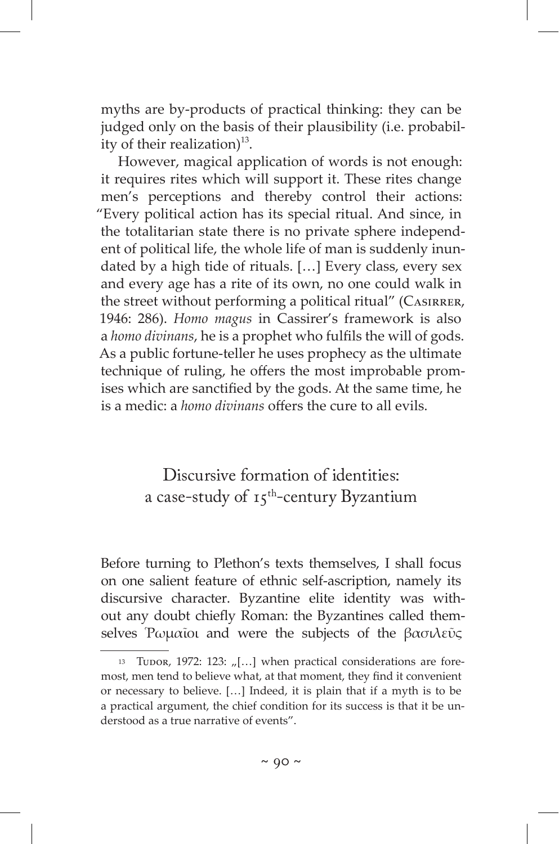myths are by-products of practical thinking: they can be judged only on the basis of their plausibility (i.e. probability of their realization) $^{13}$ .

However, magical application of words is not enough: it requires rites which will support it. These rites change men's perceptions and thereby control their actions: "Every political action has its special ritual. And since, in the totalitarian state there is no private sphere independent of political life, the whole life of man is suddenly inundated by a high tide of rituals. […] Every class, every sex and every age has a rite of its own, no one could walk in the street without performing a political ritual" (CASIRRER, 1946: 286). *Homo magus* in Cassirer's framework is also a *homo divinans*, he is a prophet who fulfils the will of gods. As a public fortune-teller he uses prophecy as the ultimate technique of ruling, he offers the most improbable promises which are sanctified by the gods. At the same time, he is a medic: a *homo divinans* offers the cure to all evils.

> Discursive formation of identities: a case-study of  $15^{th}$ -century Byzantium

Before turning to Plethon's texts themselves, I shall focus on one salient feature of ethnic self-ascription, namely its discursive character. Byzantine elite identity was without any doubt chiefly Roman: the Byzantines called themselves Ρωμαΐοι and were the subjects of the βασιλεῦς

<sup>13</sup> Tudor, 1972: 123:  $\lbrack \lbrack \ldots \rbrack$  when practical considerations are foremost, men tend to believe what, at that moment, they find it convenient or necessary to believe. […] Indeed, it is plain that if a myth is to be a practical argument, the chief condition for its success is that it be understood as a true narrative of events".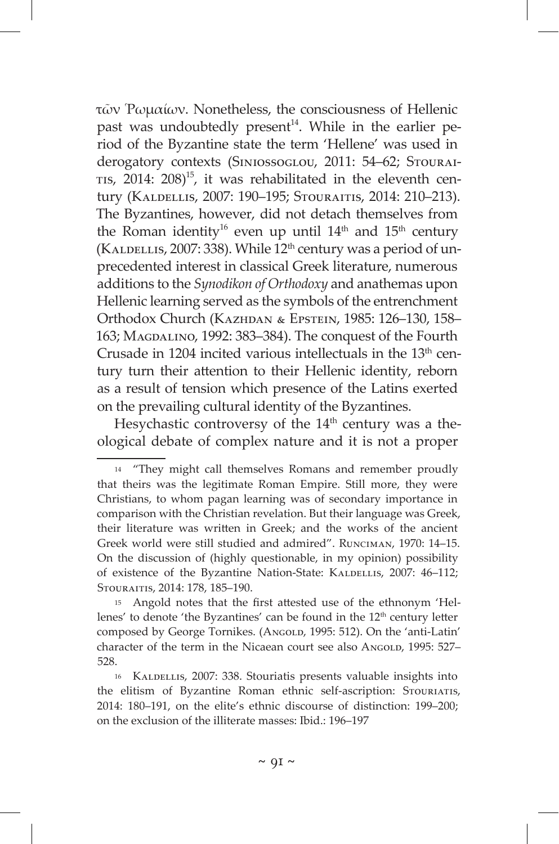τῶν Ῥωμαίων. Nonetheless, the consciousness of Hellenic past was undoubtedly present<sup>14</sup>. While in the earlier period of the Byzantine state the term 'Hellene' was used in derogatory contexts (SINIOSSOGLOU, 2011: 54–62; STOURAI-TIS,  $2014$ :  $208$ <sup>15</sup>, it was rehabilitated in the eleventh century (KALDELLIS, 2007: 190-195; STOURAITIS, 2014: 210-213). The Byzantines, however, did not detach themselves from the Roman identity<sup>16</sup> even up until  $14<sup>th</sup>$  and  $15<sup>th</sup>$  century (KALDELLIS, 2007: 338). While  $12<sup>th</sup>$  century was a period of unprecedented interest in classical Greek literature, numerous additions to the *Synodikon of Orthodoxy* and anathemas upon Hellenic learning served as the symbols of the entrenchment Orthodox Church (Kazhdan & Epstein, 1985: 126–130, 158– 163; Magdalino, 1992: 383–384). The conquest of the Fourth Crusade in 1204 incited various intellectuals in the 13<sup>th</sup> century turn their attention to their Hellenic identity, reborn as a result of tension which presence of the Latins exerted on the prevailing cultural identity of the Byzantines.

Hesychastic controversy of the  $14<sup>th</sup>$  century was a theological debate of complex nature and it is not a proper

<sup>14 &</sup>quot;They might call themselves Romans and remember proudly that theirs was the legitimate Roman Empire. Still more, they were Christians, to whom pagan learning was of secondary importance in comparison with the Christian revelation. But their language was Greek, their literature was written in Greek; and the works of the ancient Greek world were still studied and admired". Runciman, 1970: 14–15. On the discussion of (highly questionable, in my opinion) possibility of existence of the Byzantine Nation-State: KALDELLIS, 2007: 46-112; Stouraitis, 2014: 178, 185–190.

<sup>15</sup> Angold notes that the first attested use of the ethnonym 'Hellenes' to denote 'the Byzantines' can be found in the 12<sup>th</sup> century letter composed by George Tornikes. (ANGOLD, 1995: 512). On the 'anti-Latin' character of the term in the Nicaean court see also AngoLD, 1995: 527– 528.

<sup>16</sup> KALDELLIS, 2007: 338. Stouriatis presents valuable insights into the elitism of Byzantine Roman ethnic self-ascription: STOURIATIS, 2014: 180–191, on the elite's ethnic discourse of distinction: 199–200; on the exclusion of the illiterate masses: Ibid.: 196–197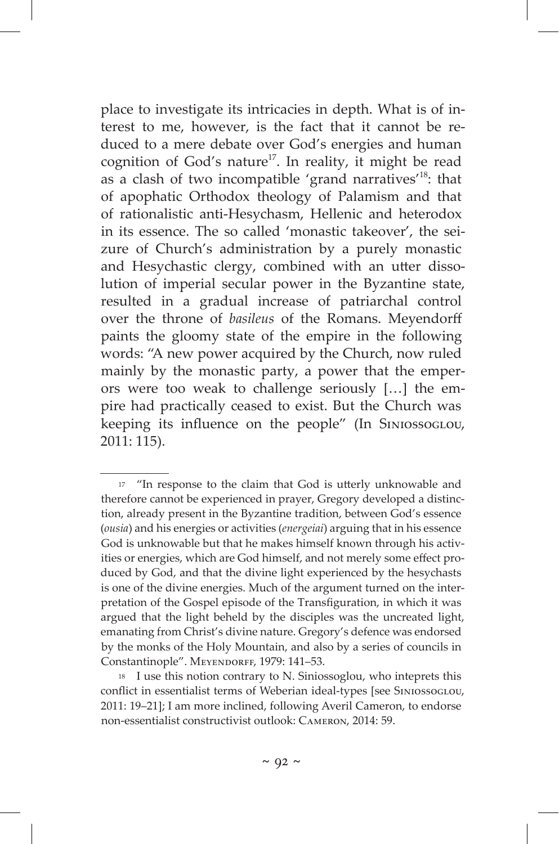place to investigate its intricacies in depth. What is of interest to me, however, is the fact that it cannot be reduced to a mere debate over God's energies and human cognition of God's nature<sup>17</sup>. In reality, it might be read as a clash of two incompatible 'grand narratives'18: that of apophatic Orthodox theology of Palamism and that of rationalistic anti-Hesychasm, Hellenic and heterodox in its essence. The so called 'monastic takeover', the seizure of Church's administration by a purely monastic and Hesychastic clergy, combined with an utter dissolution of imperial secular power in the Byzantine state, resulted in a gradual increase of patriarchal control over the throne of *basileus* of the Romans. Meyendorff paints the gloomy state of the empire in the following words: "A new power acquired by the Church, now ruled mainly by the monastic party, a power that the emperors were too weak to challenge seriously […] the empire had practically ceased to exist. But the Church was keeping its influence on the people" (In Siniossoglou, 2011: 115).

<sup>&</sup>lt;sup>17</sup> "In response to the claim that God is utterly unknowable and therefore cannot be experienced in prayer, Gregory developed a distinction, already present in the Byzantine tradition, between God's essence (*ousia*) and his energies or activities (*energeiai*) arguing that in his essence God is unknowable but that he makes himself known through his activities or energies, which are God himself, and not merely some effect produced by God, and that the divine light experienced by the hesychasts is one of the divine energies. Much of the argument turned on the interpretation of the Gospel episode of the Transfiguration, in which it was argued that the light beheld by the disciples was the uncreated light, emanating from Christ's divine nature. Gregory's defence was endorsed by the monks of the Holy Mountain, and also by a series of councils in Constantinople". MEYENDORFF, 1979: 141-53.

<sup>18</sup> I use this notion contrary to N. Siniossoglou, who inteprets this conflict in essentialist terms of Weberian ideal-types [see SINIOSSOGLOU, 2011: 19–21]; I am more inclined, following Averil Cameron, to endorse non-essentialist constructivist outlook: Cameron, 2014: 59.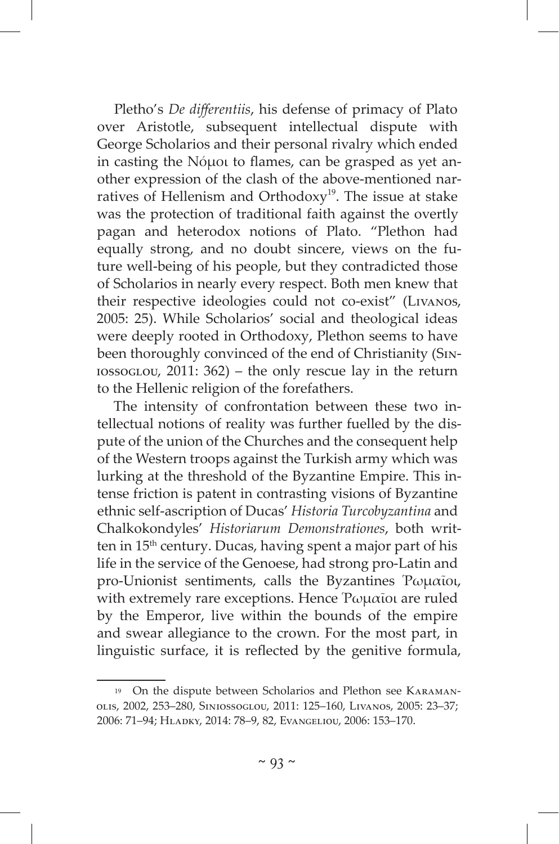Pletho's *De differentiis*, his defense of primacy of Plato over Aristotle, subsequent intellectual dispute with George Scholarios and their personal rivalry which ended in casting the Νόμοι to flames, can be grasped as yet another expression of the clash of the above-mentioned narratives of Hellenism and Orthodoxy<sup>19</sup>. The issue at stake was the protection of traditional faith against the overtly pagan and heterodox notions of Plato. "Plethon had equally strong, and no doubt sincere, views on the future well-being of his people, but they contradicted those of Scholarios in nearly every respect. Both men knew that their respective ideologies could not co-exist" (Livanos, 2005: 25). While Scholarios' social and theological ideas were deeply rooted in Orthodoxy, Plethon seems to have been thoroughly convinced of the end of Christianity (Siniossoglou, 2011: 362) – the only rescue lay in the return to the Hellenic religion of the forefathers.

The intensity of confrontation between these two intellectual notions of reality was further fuelled by the dispute of the union of the Churches and the consequent help of the Western troops against the Turkish army which was lurking at the threshold of the Byzantine Empire. This intense friction is patent in contrasting visions of Byzantine ethnic self-ascription of Ducas' *Historia Turcobyzantina* and Chalkokondyles' *Historiarum Demonstrationes*, both written in 15th century. Ducas, having spent a major part of his life in the service of the Genoese, had strong pro-Latin and pro-Unionist sentiments, calls the Byzantines Ῥωμαῖοι, with extremely rare exceptions. Hence Ρωμαΐοι are ruled by the Emperor, live within the bounds of the empire and swear allegiance to the crown. For the most part, in linguistic surface, it is reflected by the genitive formula,

<sup>19</sup> On the dispute between Scholarios and Plethon see Karamanolis, 2002, 253–280, Siniossoglou, 2011: 125–160, Livanos, 2005: 23–37; 2006: 71–94; Hladky, 2014: 78–9, 82, Evangeliou, 2006: 153–170.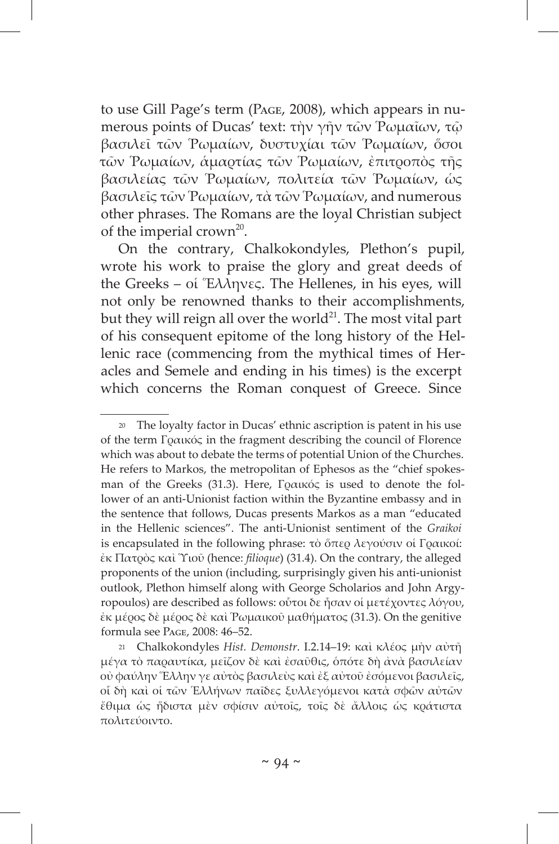to use Gill Page's term (Page, 2008), which appears in numerous points of Ducas' text: τὴν γῆν τῶν Ῥωμαῖων, τῷ βασιλεῖ τῶν Ῥωμαίων, δυστυχίαι τῶν Ῥωμαίων, ὅσοι τῶν Ῥωμαίων, ἁμαρτίας τῶν Ῥωμαίων, ἐπιτροπὸς τῆς βασιλείας τῶν Ῥωμαίων, πολιτεία τῶν Ῥωμαίων, ὡς βασιλεῖς τῶν Ῥωμαίων, τὰ τῶν Ῥωμαίων, and numerous other phrases. The Romans are the loyal Christian subject of the imperial crown<sup>20</sup>.

On the contrary, Chalkokondyles, Plethon's pupil, wrote his work to praise the glory and great deeds of the Greeks – οἱ Ἕλληνες. The Hellenes, in his eyes, will not only be renowned thanks to their accomplishments, but they will reign all over the world<sup>21</sup>. The most vital part of his consequent epitome of the long history of the Hellenic race (commencing from the mythical times of Heracles and Semele and ending in his times) is the excerpt which concerns the Roman conquest of Greece. Since

<sup>20</sup> The loyalty factor in Ducas' ethnic ascription is patent in his use of the term Γραικός in the fragment describing the council of Florence which was about to debate the terms of potential Union of the Churches. He refers to Markos, the metropolitan of Ephesos as the "chief spokesman of the Greeks (31.3). Here, Γραικός is used to denote the follower of an anti-Unionist faction within the Byzantine embassy and in the sentence that follows, Ducas presents Markos as a man "educated in the Hellenic sciences". The anti-Unionist sentiment of the *Graikoi* is encapsulated in the following phrase: τὸ ὅπερ λεγούσιν οἱ Γραικοί: ἐκ Πατρὸς καὶ Ὑιοῦ (hence: *filioque*) (31.4). On the contrary, the alleged proponents of the union (including, surprisingly given his anti-unionist outlook, Plethon himself along with George Scholarios and John Argyropoulos) are described as follows: οὗτοι δε ἦσαν οἱ μετέχοντες λόγου, ἐκ μέρος δὲ μέρος δὲ καὶ Ῥωμαικοῦ μαθήματος (31.3). On the genitive formula see Page, 2008: 46–52.

<sup>21</sup> Chalkokondyles *Hist. Demonstr*. I.2.14–19: καὶ κλέος μὴν αὐτῆ μέγα τὸ παραυτίκα, μεῖζον δὲ καὶ ἐσαῦθις, ὁπότε δὴ ἀνὰ βασιλείαν οὐ φαύλην Ἕλλην γε αὐτὸς βασιλεὺς καὶ ἐξ αὐτοῦ ἐσόμενοι βασιλεῖς, οἷ δὴ καὶ οἱ τῶν Ἑλλήνων παῖδες ξυλλεγόμενοι κατὰ σφῶν αὐτῶν ἔθιμα ὡς ἥδιστα μὲν σφίσιν αὐτοῖς, τοῖς δὲ ἄλλοις ὡς κράτιστα πολιτεύοιντο.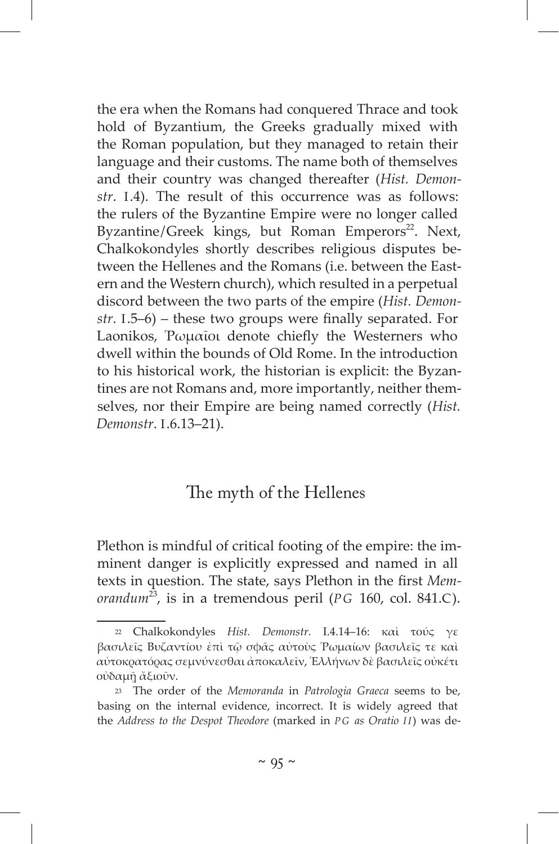the era when the Romans had conquered Thrace and took hold of Byzantium, the Greeks gradually mixed with the Roman population, but they managed to retain their language and their customs. The name both of themselves and their country was changed thereafter (*Hist. Demonstr*. I.4). The result of this occurrence was as follows: the rulers of the Byzantine Empire were no longer called Byzantine/Greek kings, but Roman Emperors<sup>22</sup>. Next, Chalkokondyles shortly describes religious disputes between the Hellenes and the Romans (i.e. between the Eastern and the Western church), which resulted in a perpetual discord between the two parts of the empire (*Hist. Demonstr*. I.5–6) – these two groups were finally separated. For Laonikos, Ῥωμαῖοι denote chiefly the Westerners who dwell within the bounds of Old Rome. In the introduction to his historical work, the historian is explicit: the Byzantines are not Romans and, more importantly, neither themselves, nor their Empire are being named correctly (*Hist. Demonstr*. I.6.13–21).

# The myth of the Hellenes

Plethon is mindful of critical footing of the empire: the imminent danger is explicitly expressed and named in all texts in question. The state, says Plethon in the first *Memorandum*<sup>23</sup>, is in a tremendous peril (*PG* 160, col. 841.C).

<sup>22</sup> Chalkokondyles *Hist. Demonstr.* I.4.14–16: καὶ τούς γε βασιλεῖς Βυζαντίου ἐπὶ τῷ σφᾶς αὐτοὺς Ῥωμαίων βασιλεῖς τε καὶ αὐτοκρατόρας σεμνύνεσθαι ἀποκαλεῖν, Ἑλλήνων δὲ βασιλεῖς οὐκέτι οὐδαμῇ ἄξιοῦν.

<sup>23</sup> The order of the *Memoranda* in *Patrologia Graeca* seems to be, basing on the internal evidence, incorrect. It is widely agreed that the *Address to the Despot Theodore* (marked in *P G as Oratio I I*) was de-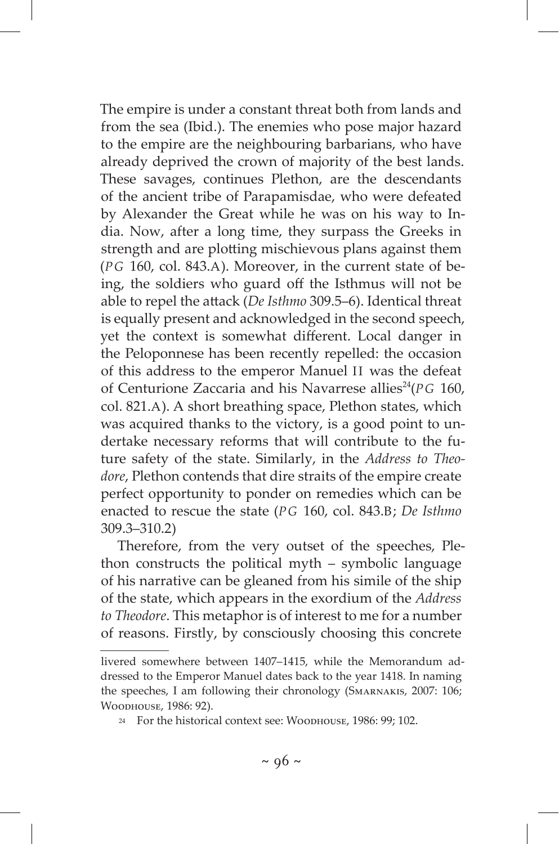The empire is under a constant threat both from lands and from the sea (Ibid.). The enemies who pose major hazard to the empire are the neighbouring barbarians, who have already deprived the crown of majority of the best lands. These savages, continues Plethon, are the descendants of the ancient tribe of Parapamisdae, who were defeated by Alexander the Great while he was on his way to India. Now, after a long time, they surpass the Greeks in strength and are plotting mischievous plans against them (*PG* 160, col. 843.A). Moreover, in the current state of being, the soldiers who guard off the Isthmus will not be able to repel the attack (*De Isthmo* 309.5–6). Identical threat is equally present and acknowledged in the second speech, yet the context is somewhat different. Local danger in the Peloponnese has been recently repelled: the occasion of this address to the emperor Manuel II was the defeat of Centurione Zaccaria and his Navarrese allies<sup>24</sup>(PG 160, col. 821.A). A short breathing space, Plethon states, which was acquired thanks to the victory, is a good point to undertake necessary reforms that will contribute to the future safety of the state. Similarly, in the *Address to Theodore*, Plethon contends that dire straits of the empire create perfect opportunity to ponder on remedies which can be enacted to rescue the state (*PG* 160, col. 843.B; *De Isthmo* 309.3–310.2)

Therefore, from the very outset of the speeches, Plethon constructs the political myth – symbolic language of his narrative can be gleaned from his simile of the ship of the state, which appears in the exordium of the *Address to Theodore*. This metaphor is of interest to me for a number of reasons. Firstly, by consciously choosing this concrete

livered somewhere between 1407–1415, while the Memorandum addressed to the Emperor Manuel dates back to the year 1418. In naming the speeches, I am following their chronology (Smarnakis, 2007: 106; Woodhouse, 1986: 92).

<sup>24</sup> For the historical context see: Woodhouse, 1986: 99; 102.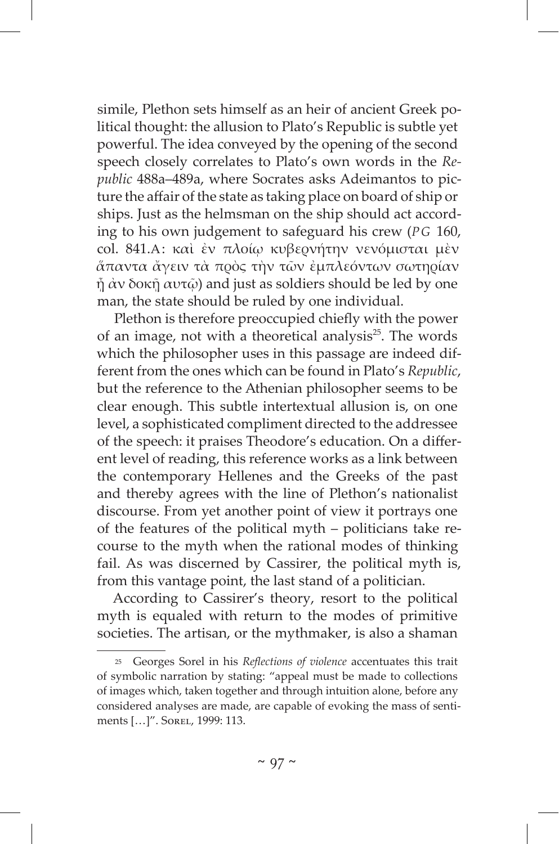simile, Plethon sets himself as an heir of ancient Greek political thought: the allusion to Plato's Republic is subtle yet powerful. The idea conveyed by the opening of the second speech closely correlates to Plato's own words in the *Republic* 488a–489a, where Socrates asks Adeimantos to picture the affair of the state as taking place on board of ship or ships. Just as the helmsman on the ship should act according to his own judgement to safeguard his crew (*PG* 160, col. 841.A: καὶ ἐν πλοίῳ κυβερνήτην νενόμισται μὲν ἅπαντα ἄγειν τὰ πρὸς τὴν τῶν ἐμπλεόντων σωτηρίαν  $\tilde{\eta}$  άν δοκ $\tilde{\eta}$  αυτ $\tilde{\omega}$ ) and just as soldiers should be led by one man, the state should be ruled by one individual.

Plethon is therefore preoccupied chiefly with the power of an image, not with a theoretical analysis $25$ . The words which the philosopher uses in this passage are indeed different from the ones which can be found in Plato's *Republic*, but the reference to the Athenian philosopher seems to be clear enough. This subtle intertextual allusion is, on one level, a sophisticated compliment directed to the addressee of the speech: it praises Theodore's education. On a different level of reading, this reference works as a link between the contemporary Hellenes and the Greeks of the past and thereby agrees with the line of Plethon's nationalist discourse. From yet another point of view it portrays one of the features of the political myth – politicians take recourse to the myth when the rational modes of thinking fail. As was discerned by Cassirer, the political myth is, from this vantage point, the last stand of a politician.

According to Cassirer's theory, resort to the political myth is equaled with return to the modes of primitive societies. The artisan, or the mythmaker, is also a shaman

<sup>25</sup> Georges Sorel in his *Reflections of violence* accentuates this trait of symbolic narration by stating: "appeal must be made to collections of images which, taken together and through intuition alone, before any considered analyses are made, are capable of evoking the mass of sentiments […]". Sorel, 1999: 113.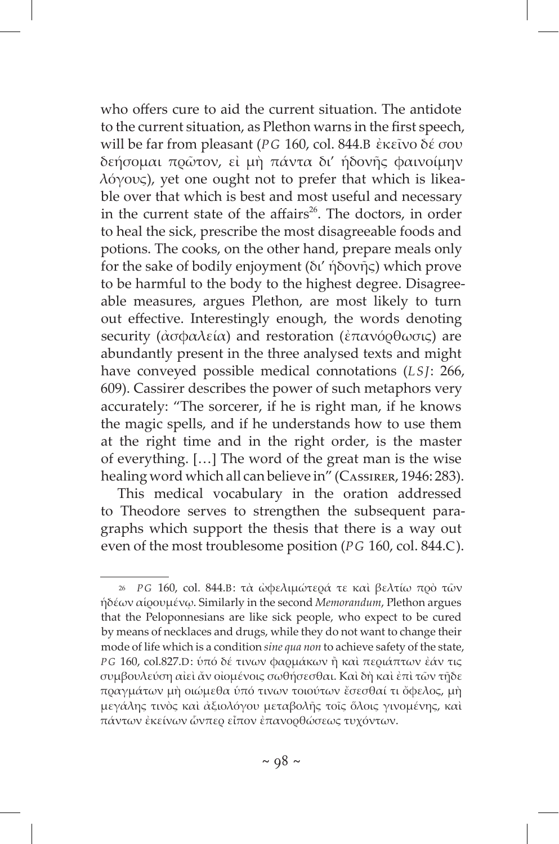who offers cure to aid the current situation. The antidote to the current situation, as Plethon warns in the first speech, will be far from pleasant (*PG* 160, col. 844.B ἐκεῖνο δέ σου δεήσομαι πρῶτον, εἰ μὴ πάντα δι' ἡδονῆς φαινοίμην λόγους), yet one ought not to prefer that which is likeable over that which is best and most useful and necessary in the current state of the affairs<sup>26</sup>. The doctors, in order to heal the sick, prescribe the most disagreeable foods and potions. The cooks, on the other hand, prepare meals only for the sake of bodily enjoyment (δι' ἡδονῆς) which prove to be harmful to the body to the highest degree. Disagreeable measures, argues Plethon, are most likely to turn out effective. Interestingly enough, the words denoting security (ἀσφαλεία) and restoration (ἐπανόρθωσις) are abundantly present in the three analysed texts and might have conveyed possible medical connotations (*LSJ*: 266, 609). Cassirer describes the power of such metaphors very accurately: "The sorcerer, if he is right man, if he knows the magic spells, and if he understands how to use them at the right time and in the right order, is the master of everything. […] The word of the great man is the wise healing word which all can believe in" (CASSIRER, 1946: 283).

This medical vocabulary in the oration addressed to Theodore serves to strengthen the subsequent paragraphs which support the thesis that there is a way out even of the most troublesome position (*PG* 160, col. 844.C).

<sup>26</sup> *P G* 160, col. 844.B: τὰ ὠφελιμώτερά τε καὶ βελτίω πρὸ τῶν ἡδέων αἱρουμένῳ. Similarly in the second *Memorandum*, Plethon argues that the Peloponnesians are like sick people, who expect to be cured by means of necklaces and drugs, while they do not want to change their mode of life which is a condition *sine qua non* to achieve safety of the state, *P G* 160, col.827.D: ὑπό δέ τινων φαρμάκων ἢ καὶ περιάπτων ἐάν τις συμβουλεύση αἰεὶ ἄν οἰομένοις σωθήσεσθαι. Καὶ δὴ καὶ ἐπὶ τῶν τῇδε πραγμάτων μὴ οιώμεθα ὑπό τινων τοιούτων ἔσεσθαί τι ὄφελος, μὴ μεγάλης τινὸς καὶ ἀξιολόγου μεταβολῆς τοῖς ὅλοις γινομένης, καὶ πάντων ἐκείνων ὧνπερ εἶπον ἐπανορθώσεως τυχόντων.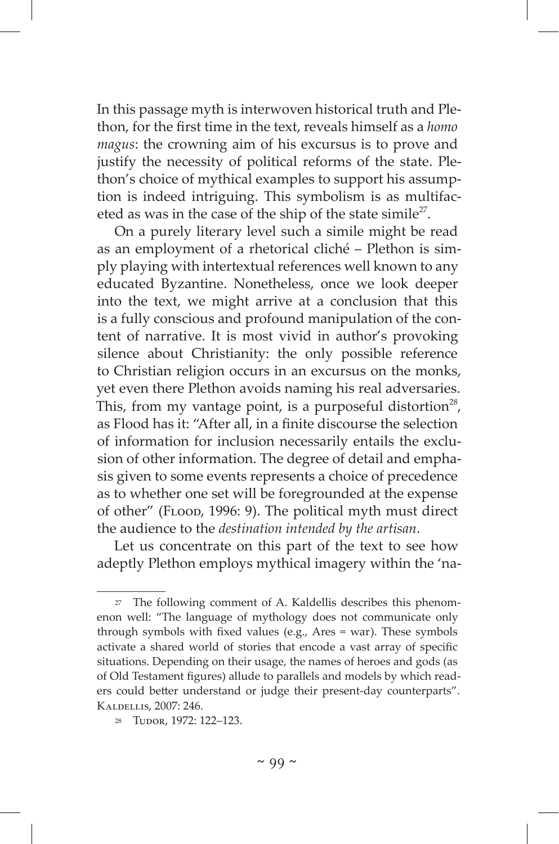In this passage myth is interwoven historical truth and Plethon, for the first time in the text, reveals himself as a *homo magus*: the crowning aim of his excursus is to prove and justify the necessity of political reforms of the state. Plethon's choice of mythical examples to support his assumption is indeed intriguing. This symbolism is as multifaceted as was in the case of the ship of the state simile<sup>27</sup>.

On a purely literary level such a simile might be read as an employment of a rhetorical cliché – Plethon is simply playing with intertextual references well known to any educated Byzantine. Nonetheless, once we look deeper into the text, we might arrive at a conclusion that this is a fully conscious and profound manipulation of the content of narrative. It is most vivid in author's provoking silence about Christianity: the only possible reference to Christian religion occurs in an excursus on the monks, yet even there Plethon avoids naming his real adversaries. This, from my vantage point, is a purposeful distortion<sup>28</sup>, as Flood has it: "After all, in a finite discourse the selection of information for inclusion necessarily entails the exclusion of other information. The degree of detail and emphasis given to some events represents a choice of precedence as to whether one set will be foregrounded at the expense of other" (FLOOD, 1996: 9). The political myth must direct the audience to the *destination intended by the artisan*.

Let us concentrate on this part of the text to see how adeptly Plethon employs mythical imagery within the 'na-

<sup>27</sup> The following comment of A. Kaldellis describes this phenomenon well: "The language of mythology does not communicate only through symbols with fixed values (e.g., Ares = war). These symbols activate a shared world of stories that encode a vast array of specific situations. Depending on their usage, the names of heroes and gods (as of Old Testament figures) allude to parallels and models by which readers could better understand or judge their present-day counterparts". Kaldellis, 2007: 246.

<sup>&</sup>lt;sup>28</sup> Tudor, 1972: 122-123.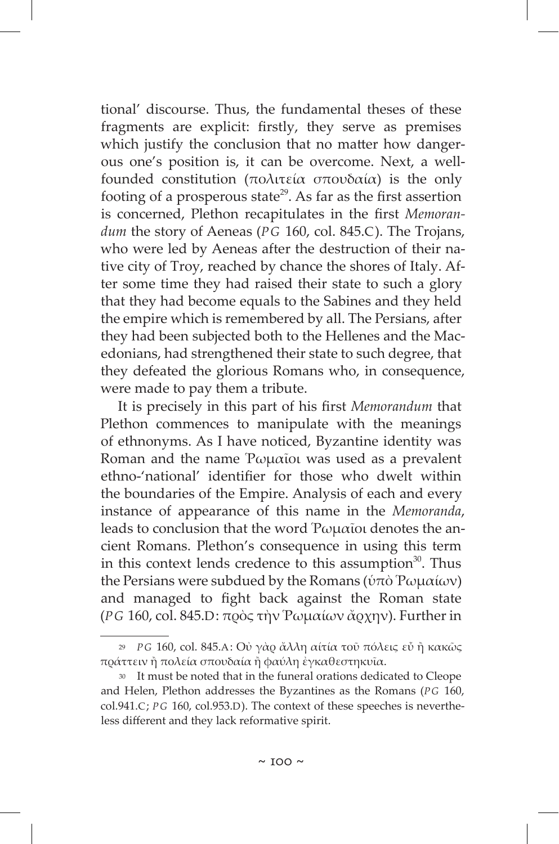tional' discourse. Thus, the fundamental theses of these fragments are explicit: firstly, they serve as premises which justify the conclusion that no matter how dangerous one's position is, it can be overcome. Next, a wellfounded constitution (πολιτεία σπουδαία) is the only footing of a prosperous state<sup>29</sup>. As far as the first assertion is concerned, Plethon recapitulates in the first *Memorandum* the story of Aeneas (*PG* 160, col. 845.C). The Trojans, who were led by Aeneas after the destruction of their native city of Troy, reached by chance the shores of Italy. After some time they had raised their state to such a glory that they had become equals to the Sabines and they held the empire which is remembered by all. The Persians, after they had been subjected both to the Hellenes and the Macedonians, had strengthened their state to such degree, that they defeated the glorious Romans who, in consequence, were made to pay them a tribute.

It is precisely in this part of his first *Memorandum* that Plethon commences to manipulate with the meanings of ethnonyms. As I have noticed, Byzantine identity was Roman and the name Ῥωμαῖοι was used as a prevalent ethno-'national' identifier for those who dwelt within the boundaries of the Empire. Analysis of each and every instance of appearance of this name in the *Memoranda*, leads to conclusion that the word Ῥωμαῖοι denotes the ancient Romans. Plethon's consequence in using this term in this context lends credence to this assumption $30$ . Thus the Persians were subdued by the Romans (ὑπὸ Ῥωμαίων) and managed to fight back against the Roman state (*PG* 160, col. 845.D: πρὸς τὴν Ῥωμαίων ἄρχην). Further in

<sup>29</sup> *P G* 160, col. 845.A: Οὐ γὰρ ἄλλη αίτία τοῦ πόλεις εὖ ἢ κακῶς πράττειν ἢ πολεία σπουδαία ἢ φαύλη ἐγκαθεστηκυῖα.

<sup>30</sup> It must be noted that in the funeral orations dedicated to Cleope and Helen, Plethon addresses the Byzantines as the Romans (PG 160, col.941.C; *P G* 160, col.953.D). The context of these speeches is nevertheless different and they lack reformative spirit.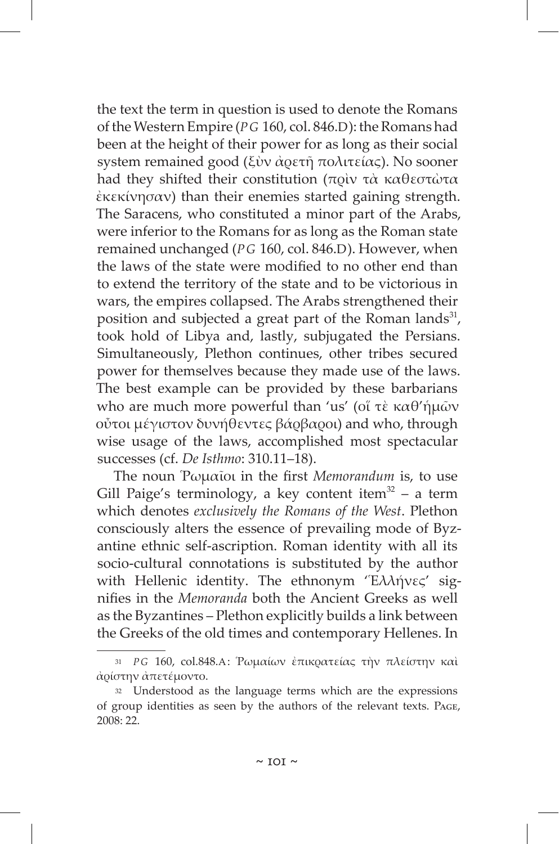the text the term in question is used to denote the Romans of the Western Empire (*PG* 160, col. 846.D): the Romans had been at the height of their power for as long as their social system remained good (ξὺν ἀρετῆ πολιτείας). No sooner had they shifted their constitution (πρὶν τὰ καθεστὼτα ἐκεκίνησαν) than their enemies started gaining strength. The Saracens, who constituted a minor part of the Arabs, were inferior to the Romans for as long as the Roman state remained unchanged (*PG* 160, col. 846.D). However, when the laws of the state were modified to no other end than to extend the territory of the state and to be victorious in wars, the empires collapsed. The Arabs strengthened their position and subjected a great part of the Roman lands<sup>31</sup>, took hold of Libya and, lastly, subjugated the Persians. Simultaneously, Plethon continues, other tribes secured power for themselves because they made use of the laws. The best example can be provided by these barbarians who are much more powerful than 'us' (οἵ τὲ καθ'ἡμῶν οὖτοι μέγιστον δυνήθεντες βάρβαροι) and who, through wise usage of the laws, accomplished most spectacular successes (cf. *De Isthmo*: 310.11–18).

The noun Ῥωμαῖοι in the first *Memorandum* is, to use Gill Paige's terminology, a key content item $32 - a$  term which denotes *exclusively the Romans of the West*. Plethon consciously alters the essence of prevailing mode of Byzantine ethnic self-ascription. Roman identity with all its socio-cultural connotations is substituted by the author with Hellenic identity. The ethnonym "Ελλήνες' signifies in the *Memoranda* both the Ancient Greeks as well as the Byzantines – Plethon explicitly builds a link between the Greeks of the old times and contemporary Hellenes. In

<sup>31</sup> *P G* 160, col.848.A: Ῥωμαίων ἐπικρατείας τὴν πλείστην καὶ ἀρίστην ἀπετέμοντο.

<sup>32</sup> Understood as the language terms which are the expressions of group identities as seen by the authors of the relevant texts. Page, 2008: 22.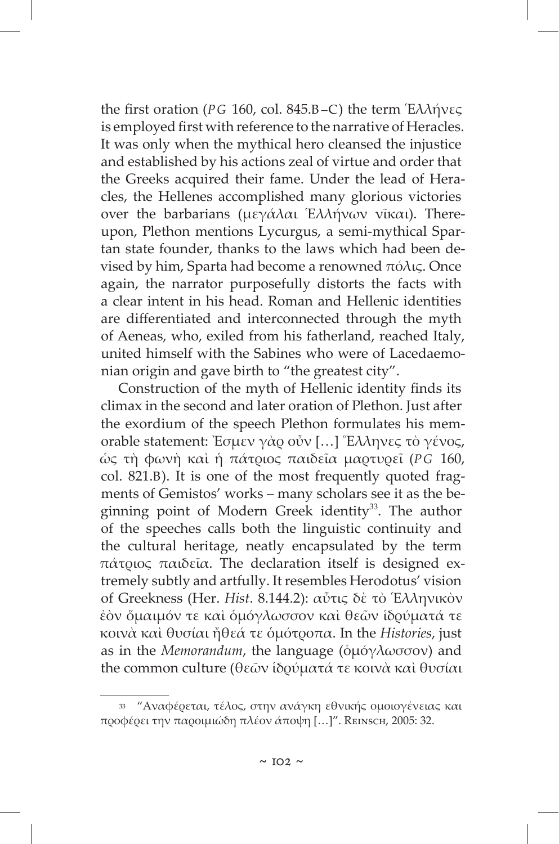the first oration (*PG* 160, col. 845.B–C) the term Ἑλλήνες is employed first with reference to the narrative of Heracles. It was only when the mythical hero cleansed the injustice and established by his actions zeal of virtue and order that the Greeks acquired their fame. Under the lead of Heracles, the Hellenes accomplished many glorious victories over the barbarians (μεγάλαι Ἑλλήνων νῖκαι). Thereupon, Plethon mentions Lycurgus, a semi-mythical Spartan state founder, thanks to the laws which had been devised by him, Sparta had become a renowned πόλις. Once again, the narrator purposefully distorts the facts with a clear intent in his head. Roman and Hellenic identities are differentiated and interconnected through the myth of Aeneas, who, exiled from his fatherland, reached Italy, united himself with the Sabines who were of Lacedaemonian origin and gave birth to "the greatest city".

Construction of the myth of Hellenic identity finds its climax in the second and later oration of Plethon. Just after the exordium of the speech Plethon formulates his memorable statement: Ἐσμεν γὰρ οὖν […] Ἕλληνες τὸ γένος, ὡς τὴ φωνὴ καὶ ἡ πάτριος παιδεῖα μαρτυρεῖ (*PG* 160, col. 821.B). It is one of the most frequently quoted fragments of Gemistos' works – many scholars see it as the beginning point of Modern Greek identity<sup>33</sup>. The author of the speeches calls both the linguistic continuity and the cultural heritage, neatly encapsulated by the term πάτριος παιδεῖα. The declaration itself is designed extremely subtly and artfully. It resembles Herodotus' vision of Greekness (Her. *Hist*. 8.144.2): αὖτις δὲ τὸ Ἑλληνικὸν ἐὸν ὅμαιμόν τε καὶ ὁμόγλωσσον καὶ θεῶν ἱδρύματά τε κοινὰ καὶ θυσίαι ἤθεά τε ὁμότροπα. In the *Histories*, just as in the *Memorandum*, the language (ὁμόγλωσσον) and the common culture (θεῶν ἱδρύματά τε κοινὰ καὶ θυσίαι

<sup>33 &</sup>quot;Αναφέρεται, τέλος, στην ανάγκη εθνικής ομοιογένειας και προφέρει την παροιμιώδη πλέον άποψη […]". Reinsch, 2005: 32.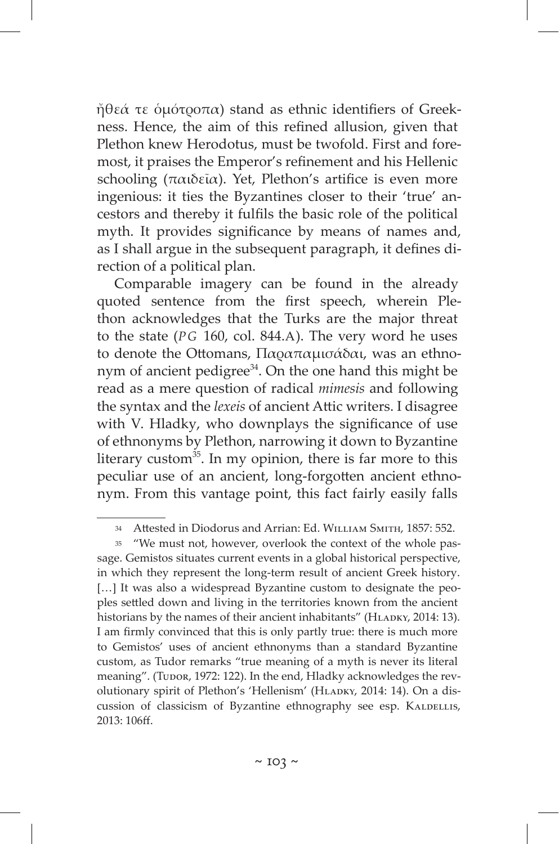ἤθεά τε ὁμότροπα) stand as ethnic identifiers of Greekness. Hence, the aim of this refined allusion, given that Plethon knew Herodotus, must be twofold. First and foremost, it praises the Emperor's refinement and his Hellenic schooling (παιδεῖα). Yet, Plethon's artifice is even more ingenious: it ties the Byzantines closer to their 'true' ancestors and thereby it fulfils the basic role of the political myth. It provides significance by means of names and, as I shall argue in the subsequent paragraph, it defines direction of a political plan.

Comparable imagery can be found in the already quoted sentence from the first speech, wherein Plethon acknowledges that the Turks are the major threat to the state (*PG* 160, col. 844.A). The very word he uses to denote the Ottomans, Παραπαμισάδαι, was an ethnonym of ancient pedigree $34$ . On the one hand this might be read as a mere question of radical *mimesis* and following the syntax and the *lexeis* of ancient Attic writers. I disagree with V. Hladky, who downplays the significance of use of ethnonyms by Plethon, narrowing it down to Byzantine literary custom $^{35}$ . In my opinion, there is far more to this peculiar use of an ancient, long-forgotten ancient ethnonym. From this vantage point, this fact fairly easily falls

<sup>34</sup> Attested in Diodorus and Arrian: Ed. WILLIAM SMITH, 1857: 552.

<sup>35 &</sup>quot;We must not, however, overlook the context of the whole passage. Gemistos situates current events in a global historical perspective, in which they represent the long-term result of ancient Greek history. [...] It was also a widespread Byzantine custom to designate the peoples settled down and living in the territories known from the ancient historians by the names of their ancient inhabitants" (HLADKY, 2014: 13). I am firmly convinced that this is only partly true: there is much more to Gemistos' uses of ancient ethnonyms than a standard Byzantine custom, as Tudor remarks "true meaning of a myth is never its literal meaning". (Tupor, 1972: 122). In the end, Hladky acknowledges the revolutionary spirit of Plethon's 'Hellenism' (HLADKY, 2014: 14). On a discussion of classicism of Byzantine ethnography see esp. KALDELLIS, 2013: 106ff.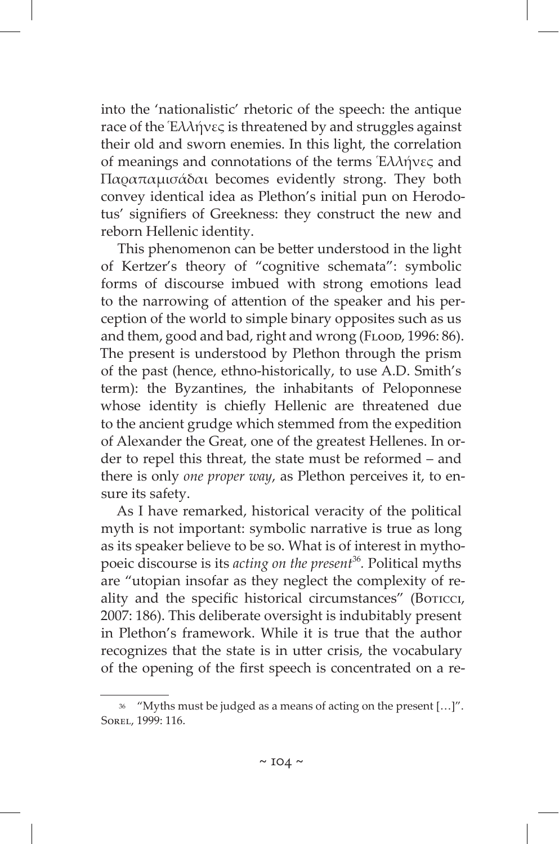into the 'nationalistic' rhetoric of the speech: the antique race of the Ἑλλήνες is threatened by and struggles against their old and sworn enemies. In this light, the correlation of meanings and connotations of the terms Ἑλλήνες and Παραπαμισάδαι becomes evidently strong. They both convey identical idea as Plethon's initial pun on Herodotus' signifiers of Greekness: they construct the new and reborn Hellenic identity.

This phenomenon can be better understood in the light of Kertzer's theory of "cognitive schemata": symbolic forms of discourse imbued with strong emotions lead to the narrowing of attention of the speaker and his perception of the world to simple binary opposites such as us and them, good and bad, right and wrong (FLOOD, 1996: 86). The present is understood by Plethon through the prism of the past (hence, ethno-historically, to use A.D. Smith's term): the Byzantines, the inhabitants of Peloponnese whose identity is chiefly Hellenic are threatened due to the ancient grudge which stemmed from the expedition of Alexander the Great, one of the greatest Hellenes. In order to repel this threat, the state must be reformed – and there is only *one proper way*, as Plethon perceives it, to ensure its safety.

As I have remarked, historical veracity of the political myth is not important: symbolic narrative is true as long as its speaker believe to be so. What is of interest in mythopoeic discourse is its *acting on the present*<sup>36</sup>*.* Political myths are "utopian insofar as they neglect the complexity of reality and the specific historical circumstances" (Boricci, 2007: 186). This deliberate oversight is indubitably present in Plethon's framework. While it is true that the author recognizes that the state is in utter crisis, the vocabulary of the opening of the first speech is concentrated on a re-

<sup>36 &</sup>quot;Myths must be judged as a means of acting on the present […]". Sorel, 1999: 116.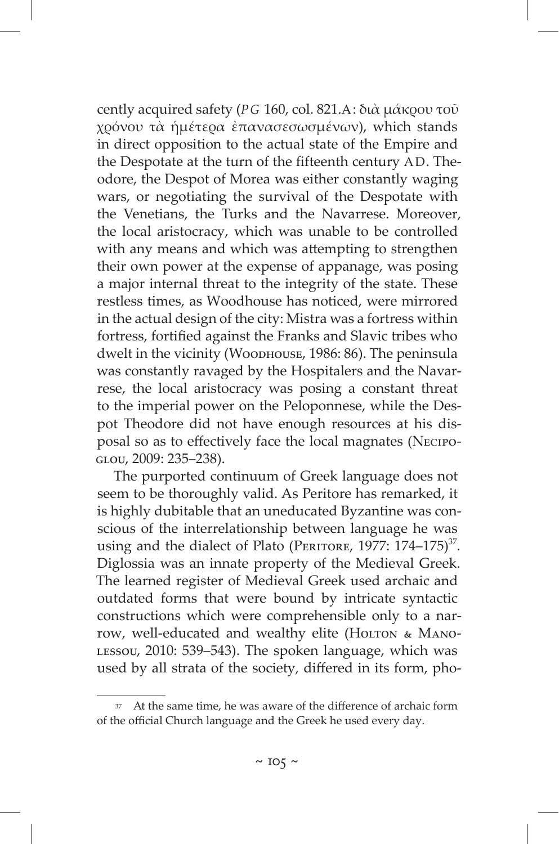cently acquired safety (*PG* 160, col. 821.A: διὰ μάκρου τοῦ χρόνου τὰ ἡμέτερα ἐπανασεσωσμένων), which stands in direct opposition to the actual state of the Empire and the Despotate at the turn of the fifteenth century AD. Theodore, the Despot of Morea was either constantly waging wars, or negotiating the survival of the Despotate with the Venetians, the Turks and the Navarrese. Moreover, the local aristocracy, which was unable to be controlled with any means and which was attempting to strengthen their own power at the expense of appanage, was posing a major internal threat to the integrity of the state. These restless times, as Woodhouse has noticed, were mirrored in the actual design of the city: Mistra was a fortress within fortress, fortified against the Franks and Slavic tribes who dwelt in the vicinity (Wоорноusе, 1986: 86). The peninsula was constantly ravaged by the Hospitalers and the Navarrese, the local aristocracy was posing a constant threat to the imperial power on the Peloponnese, while the Despot Theodore did not have enough resources at his disposal so as to effectively face the local magnates (Necipoglou, 2009: 235–238).

The purported continuum of Greek language does not seem to be thoroughly valid. As Peritore has remarked, it is highly dubitable that an uneducated Byzantine was conscious of the interrelationship between language he was using and the dialect of Plato (PERITORE, 1977: 174-175)<sup>37</sup>. Diglossia was an innate property of the Medieval Greek. The learned register of Medieval Greek used archaic and outdated forms that were bound by intricate syntactic constructions which were comprehensible only to a narrow, well-educated and wealthy elite (HOLTON & MANOlessou, 2010: 539–543). The spoken language, which was used by all strata of the society, differed in its form, pho-

<sup>37</sup> At the same time, he was aware of the difference of archaic form of the official Church language and the Greek he used every day.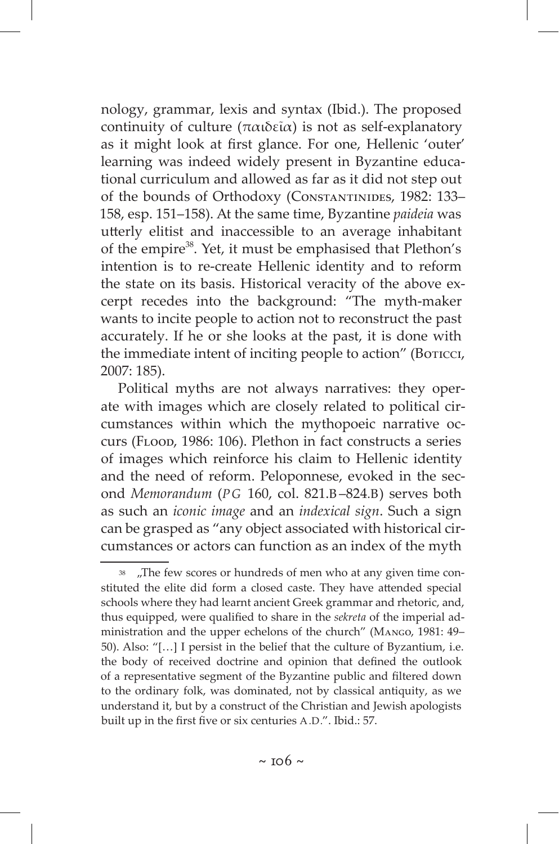nology, grammar, lexis and syntax (Ibid.). The proposed continuity of culture (παιδεῖα) is not as self-explanatory as it might look at first glance. For one, Hellenic 'outer' learning was indeed widely present in Byzantine educational curriculum and allowed as far as it did not step out of the bounds of Orthodoxy (Constantinides, 1982: 133– 158, esp. 151–158). At the same time, Byzantine *paideia* was utterly elitist and inaccessible to an average inhabitant of the empire38. Yet, it must be emphasised that Plethon's intention is to re-create Hellenic identity and to reform the state on its basis. Historical veracity of the above excerpt recedes into the background: "The myth-maker wants to incite people to action not to reconstruct the past accurately. If he or she looks at the past, it is done with the immediate intent of inciting people to action" (Boricci, 2007: 185).

Political myths are not always narratives: they operate with images which are closely related to political circumstances within which the mythopoeic narrative occurs (Flood, 1986: 106). Plethon in fact constructs a series of images which reinforce his claim to Hellenic identity and the need of reform. Peloponnese, evoked in the second *Memorandum* (*PG* 160, col. 821.B –824.B) serves both as such an *iconic image* and an *indexical sign*. Such a sign can be grasped as "any object associated with historical circumstances or actors can function as an index of the myth

<sup>38 &</sup>quot;The few scores or hundreds of men who at any given time constituted the elite did form a closed caste. They have attended special schools where they had learnt ancient Greek grammar and rhetoric, and, thus equipped, were qualified to share in the *sekreta* of the imperial administration and the upper echelons of the church" (Mango, 1981: 49– 50). Also: "[…] I persist in the belief that the culture of Byzantium, i.e. the body of received doctrine and opinion that defined the outlook of a representative segment of the Byzantine public and filtered down to the ordinary folk, was dominated, not by classical antiquity, as we understand it, but by a construct of the Christian and Jewish apologists built up in the first five or six centuries A.D.". Ibid.: 57.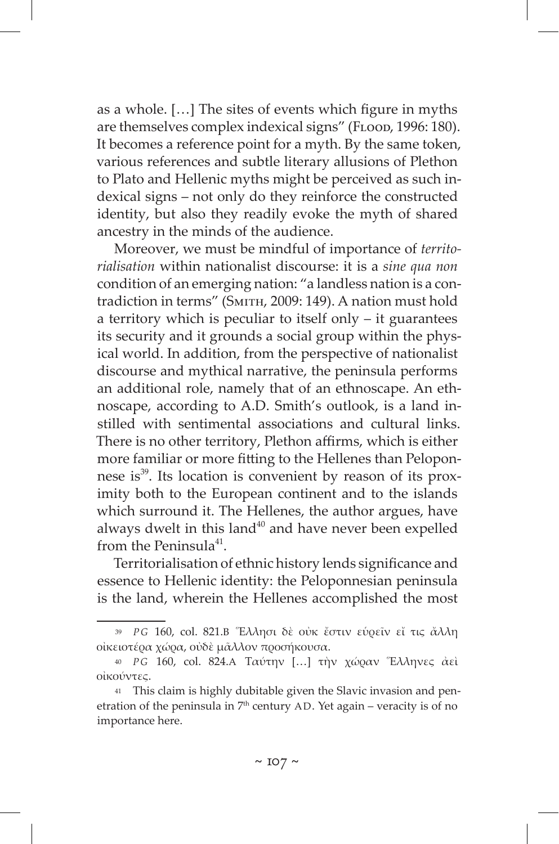as a whole. […] The sites of events which figure in myths are themselves complex indexical signs" (FLOOD, 1996: 180). It becomes a reference point for a myth. By the same token, various references and subtle literary allusions of Plethon to Plato and Hellenic myths might be perceived as such indexical signs – not only do they reinforce the constructed identity, but also they readily evoke the myth of shared ancestry in the minds of the audience.

Moreover, we must be mindful of importance of *territorialisation* within nationalist discourse: it is a *sine qua non*  condition of an emerging nation: "a landless nation is a contradiction in terms" (Smith, 2009: 149). A nation must hold a territory which is peculiar to itself only – it guarantees its security and it grounds a social group within the physical world. In addition, from the perspective of nationalist discourse and mythical narrative, the peninsula performs an additional role, namely that of an ethnoscape. An ethnoscape, according to A.D. Smith's outlook, is a land instilled with sentimental associations and cultural links. There is no other territory, Plethon affirms, which is either more familiar or more fitting to the Hellenes than Peloponnese is<sup>39</sup>. Its location is convenient by reason of its proximity both to the European continent and to the islands which surround it. The Hellenes, the author argues, have always dwelt in this land $40$  and have never been expelled from the Peninsula $41$ .

Territorialisation of ethnic history lends significance and essence to Hellenic identity: the Peloponnesian peninsula is the land, wherein the Hellenes accomplished the most

<sup>39</sup> *P G* 160, col. 821.B Ἕλλησι δὲ οὐκ ἔστιν εὑρεῖν εἴ τις ἄλλη οἰκειοτέρα χώρα, οὐδὲ μᾶλλον προσήκουσα.

<sup>40</sup> *P G* 160, col. 824.A Ταύτην […] τὴν χώραν Ἕλληνες ἀεὶ οἰκούντες.

<sup>41</sup> This claim is highly dubitable given the Slavic invasion and penetration of the peninsula in  $7^{\rm th}$  century AD. Yet again – veracity is of no importance here.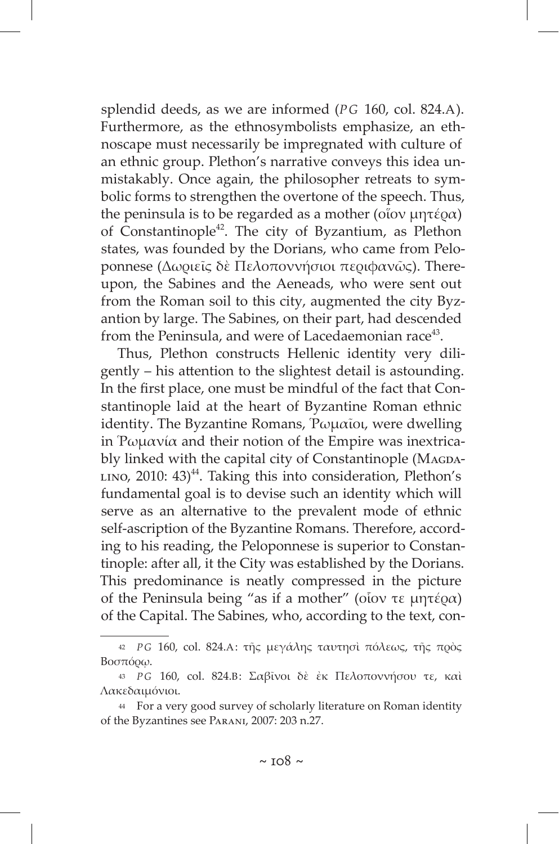splendid deeds, as we are informed (*PG* 160, col. 824.A). Furthermore, as the ethnosymbolists emphasize, an ethnoscape must necessarily be impregnated with culture of an ethnic group. Plethon's narrative conveys this idea unmistakably. Once again, the philosopher retreats to symbolic forms to strengthen the overtone of the speech. Thus, the peninsula is to be regarded as a mother (οἵον μητέρα) of Constantinople<sup>42</sup>. The city of Byzantium, as Plethon states, was founded by the Dorians, who came from Peloponnese (Δωριεῖς δὲ Πελοποννήσιοι περιφανῶς). Thereupon, the Sabines and the Aeneads, who were sent out from the Roman soil to this city, augmented the city Byzantion by large. The Sabines, on their part, had descended from the Peninsula, and were of Lacedaemonian race<sup>43</sup>.

Thus, Plethon constructs Hellenic identity very diligently – his attention to the slightest detail is astounding. In the first place, one must be mindful of the fact that Constantinople laid at the heart of Byzantine Roman ethnic identity. The Byzantine Romans, Ῥωμαῖοι, were dwelling in Ρωμανία and their notion of the Empire was inextricably linked with the capital city of Constantinople (MAGDA- $LINO$ , 2010: 43)<sup>44</sup>. Taking this into consideration, Plethon's fundamental goal is to devise such an identity which will serve as an alternative to the prevalent mode of ethnic self-ascription of the Byzantine Romans. Therefore, according to his reading, the Peloponnese is superior to Constantinople: after all, it the City was established by the Dorians. This predominance is neatly compressed in the picture of the Peninsula being "as if a mother" (οἷον τε μητέρα) of the Capital. The Sabines, who, according to the text, con-

<sup>42</sup> *P G* 160, col. 824.A: τῆς μεγάλης ταυτησὶ πόλεως, τῆς πρὸς Βοσπόρῳ.

<sup>43</sup> *P G* 160, col. 824.B: Σαβῖνοι δὲ ἐκ Πελοποννήσου τε, καὶ Λακεδαιμόνιοι.

<sup>44</sup> For a very good survey of scholarly literature on Roman identity of the Byzantines see Parani, 2007: 203 n.27.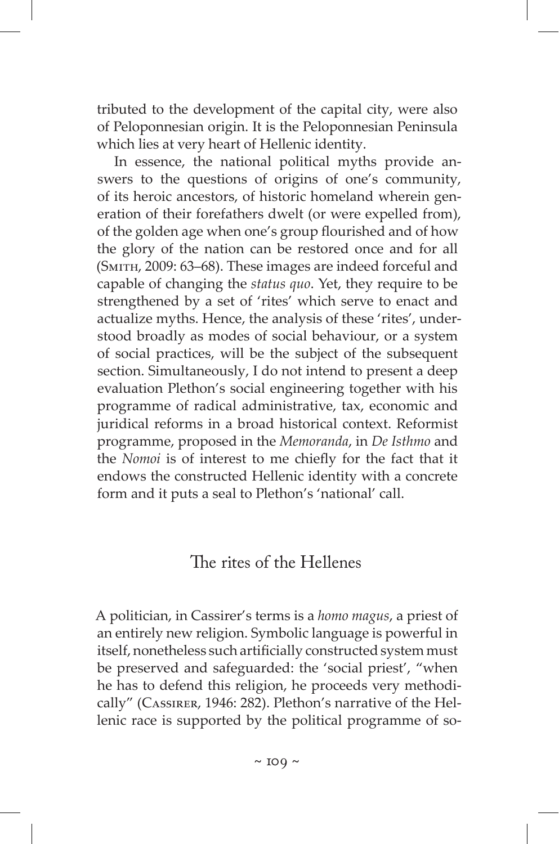tributed to the development of the capital city, were also of Peloponnesian origin. It is the Peloponnesian Peninsula which lies at very heart of Hellenic identity.

In essence, the national political myths provide answers to the questions of origins of one's community, of its heroic ancestors, of historic homeland wherein generation of their forefathers dwelt (or were expelled from), of the golden age when one's group flourished and of how the glory of the nation can be restored once and for all (Smith, 2009: 63–68). These images are indeed forceful and capable of changing the *status quo*. Yet, they require to be strengthened by a set of 'rites' which serve to enact and actualize myths. Hence, the analysis of these 'rites', understood broadly as modes of social behaviour, or a system of social practices, will be the subject of the subsequent section. Simultaneously, I do not intend to present a deep evaluation Plethon's social engineering together with his programme of radical administrative, tax, economic and juridical reforms in a broad historical context. Reformist programme, proposed in the *Memoranda*, in *De Isthmo* and the *Nomoi* is of interest to me chiefly for the fact that it endows the constructed Hellenic identity with a concrete form and it puts a seal to Plethon's 'national' call.

#### The rites of the Hellenes

A politician, in Cassirer's terms is a *homo magus*, a priest of an entirely new religion. Symbolic language is powerful in itself, nonetheless such artificially constructed system must be preserved and safeguarded: the 'social priest', "when he has to defend this religion, he proceeds very methodically" (Cassirer, 1946: 282). Plethon's narrative of the Hellenic race is supported by the political programme of so-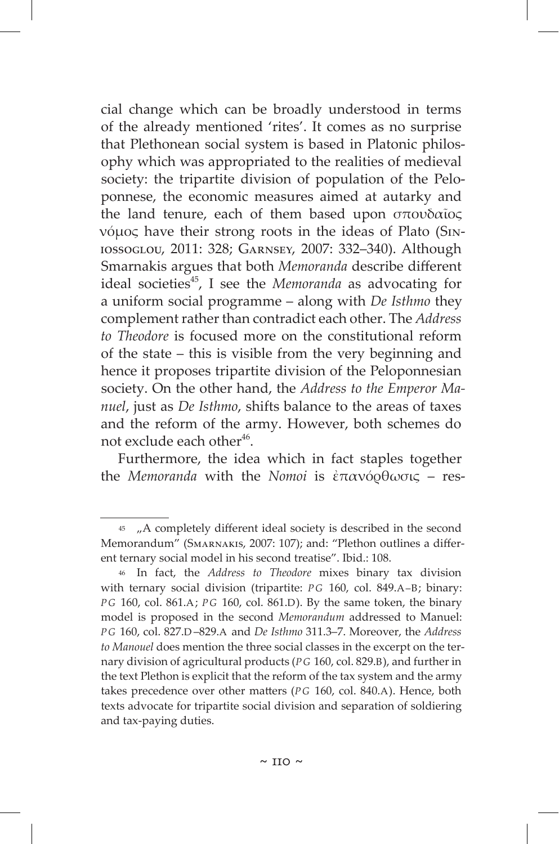cial change which can be broadly understood in terms of the already mentioned 'rites'. It comes as no surprise that Plethonean social system is based in Platonic philosophy which was appropriated to the realities of medieval society: the tripartite division of population of the Peloponnese, the economic measures aimed at autarky and the land tenure, each of them based upon σπουδαῖος νόμος have their strong roots in the ideas of Plato (Siniossoglou, 2011: 328; Garnsey, 2007: 332–340). Although Smarnakis argues that both *Memoranda* describe different ideal societies<sup>45</sup>, I see the *Memoranda* as advocating for a uniform social programme – along with *De Isthmo* they complement rather than contradict each other. The *Address to Theodore* is focused more on the constitutional reform of the state – this is visible from the very beginning and hence it proposes tripartite division of the Peloponnesian society. On the other hand, the *Address to the Emperor Manuel*, just as *De Isthmo*, shifts balance to the areas of taxes and the reform of the army. However, both schemes do not exclude each other<sup>46</sup>.

Furthermore, the idea which in fact staples together the *Memoranda* with the *Nomoi* is ἐπανόρθωσις – res-

<sup>45 &</sup>quot;A completely different ideal society is described in the second Memorandum" (Smarnakis, 2007: 107); and: "Plethon outlines a different ternary social model in his second treatise". Ibid.: 108.

<sup>46</sup> In fact, the *Address to Theodore* mixes binary tax division with ternary social division (tripartite: *PG* 160, col. 849.A–B; binary: *PG* 160, col. 861.A; *PG* 160, col. 861.D). By the same token, the binary model is proposed in the second *Memorandum* addressed to Manuel: *P G* 160, col. 827.D –829.A and *De Isthmo* 311.3–7. Moreover, the *Address to Manouel* does mention the three social classes in the excerpt on the ternary division of agricultural products (*P G* 160, col. 829.B), and further in the text Plethon is explicit that the reform of the tax system and the army takes precedence over other matters (*P G* 160, col. 840.A). Hence, both texts advocate for tripartite social division and separation of soldiering and tax-paying duties.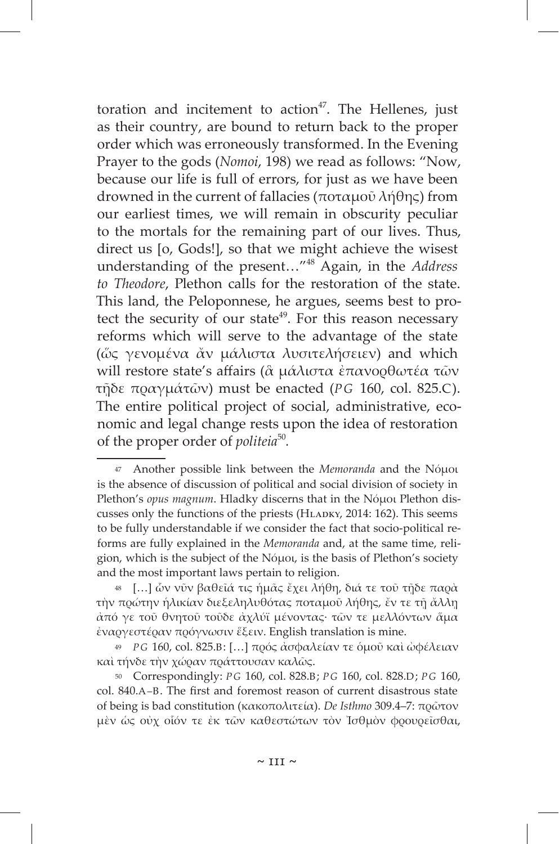toration and incitement to  $action<sup>47</sup>$ . The Hellenes, just as their country, are bound to return back to the proper order which was erroneously transformed. In the Evening Prayer to the gods (*Nomoi*, 198) we read as follows: "Now, because our life is full of errors, for just as we have been drowned in the current of fallacies (ποταμοῦ λήθης) from our earliest times, we will remain in obscurity peculiar to the mortals for the remaining part of our lives. Thus, direct us [o, Gods!], so that we might achieve the wisest understanding of the present…"48 Again, in the *Address to Theodore*, Plethon calls for the restoration of the state. This land, the Peloponnese, he argues, seems best to protect the security of our state<sup>49</sup>. For this reason necessary reforms which will serve to the advantage of the state (ὥς γενομένα ἄν μάλιστα λυσιτελήσειεν) and which will restore state's affairs ( $\alpha$  μάλιστα ἐπανορθωτέα τῶν τῇδε πραγμάτῶν) must be enacted (*PG* 160, col. 825.C). The entire political project of social, administrative, economic and legal change rests upon the idea of restoration of the proper order of *politeia*<sup>50</sup>*.*

50 Correspondingly: *P G* 160, col. 828.B; *P G* 160, col. 828.D; *P G* 160, col. 840.A–B. The first and foremost reason of current disastrous state of being is bad constitution (κακοπολιτεία). *De Isthmo* 309.4‒7: πρῶτον μὲν ὡς οὐχ οἷόν τε ἐκ τῶν καθεστώτων τὸν Ἰσθμὸν φρουρεῖσθαι,

<sup>47</sup> Another possible link between the *Memoranda* and the Nόμοι is the absence of discussion of political and social division of society in Plethon's *opus magnum*. Hladky discerns that in the Νόμοι Plethon discusses only the functions of the priests (HLADKY, 2014: 162). This seems to be fully understandable if we consider the fact that socio-political reforms are fully explained in the *Memoranda* and, at the same time, religion, which is the subject of the Νόμοι, is the basis of Plethon's society and the most important laws pertain to religion.

<sup>48 […]</sup> ὧν νῦν βαθεῖά τις ἡμᾶς ἔχει λήθη, διά τε τοῦ τῇδε παρὰ τὴν πρώτην ἡλικίαν διεξεληλυθότας ποταμοῦ λήθης, ἔν τε τῇ ἄλλῃ ἀπό γε τοῦ θνητοῦ τοῦδε ἀχλύϊ μένοντας· τῶν τε μελλόντων ἅμα ἐναργεστέραν πρόγνωσιν ἕξειν. English translation is mine.

<sup>49</sup> *P G* 160, col. 825.B: […] πρός ἀσφαλείαν τε ὁμοῦ καὶ ὠφέλειαν καὶ τήνδε τὴν χώραν πράττουσαν καλῶς.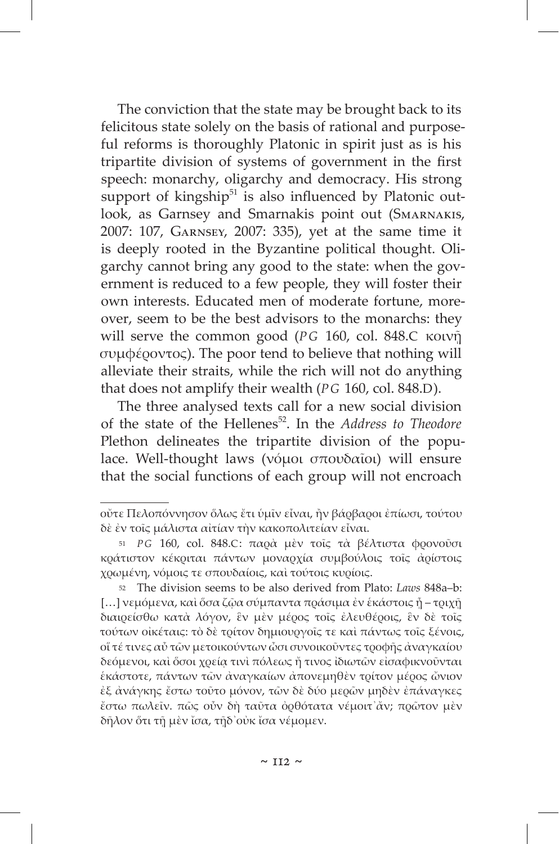The conviction that the state may be brought back to its felicitous state solely on the basis of rational and purposeful reforms is thoroughly Platonic in spirit just as is his tripartite division of systems of government in the first speech: monarchy, oligarchy and democracy. His strong support of kingship $51$  is also influenced by Platonic outlook, as Garnsey and Smarnakis point out (Smarnakis, 2007: 107, Garnsey, 2007: 335), yet at the same time it is deeply rooted in the Byzantine political thought. Oligarchy cannot bring any good to the state: when the government is reduced to a few people, they will foster their own interests. Educated men of moderate fortune, moreover, seem to be the best advisors to the monarchs: they will serve the common good (*PG* 160, col. 848.C κοινῇ συμφέροντος). The poor tend to believe that nothing will alleviate their straits, while the rich will not do anything that does not amplify their wealth (*PG* 160, col. 848.D).

The three analysed texts call for a new social division of the state of the Hellenes52. In the *Address to Theodore* Plethon delineates the tripartite division of the populace. Well-thought laws (νόμοι σπουδαῖοι) will ensure that the social functions of each group will not encroach

οὔτε Πελοπόννησον ὅλως ἔτι ὑμῖν εἶναι, ἢν βάρβαροι ἐπίωσι, τούτου δὲ ἐν τοῖς μάλιστα αἰτίαν τὴν κακοπολιτείαν εἶναι.

<sup>51</sup> *P G* 160, col. 848.C: παρὰ μὲν τοῖς τὰ βέλτιστα φρονοῦσι κράτιστον κέκριται πάντων μοναρχία συμβούλοις τοῖς ἀρίστοις χρωμένη, νόμοις τε σπουδαίοις, καὶ τούτοις κυρίοις.

<sup>52</sup> The division seems to be also derived from Plato: *Laws* 848a–b:  $[...]$  νεμόμενα, καὶ ὅσα ζῷα σύμπαντα πράσιμα ἐν ἑκάστοις ἦ – τριχῆ διαιρείσθω κατὰ λόγον, ἓν μὲν μέρος τοῖς ἐλευθέροις, ἓν δὲ τοῖς τούτων οἰκέταις: τὸ δὲ τρίτον δημιουργοῖς τε καὶ πάντως τοῖς ξένοις, οἵ τέ τινες αὖ τῶν μετοικούντων ὦσι συνοικοῦντες τροφῆς ἀναγκαίου δεόμενοι, καὶ ὅσοι χρείᾳ τινὶ πόλεως ἤ τινος ἰδιωτῶν εἰσαφικνοῦνται ἑκάστοτε, πάντων τῶν ἀναγκαίων ἀπονεμηθὲν τρίτον μέρος ὤνιον ἐξ ἀνάγκης ἔστω τοῦτο μόνον, τῶν δὲ δύο μερῶν μηδὲν ἐπάναγκες ἔστω πωλεῖν. πῶς οὖν δὴ ταῦτα ὀρθότατα νέμοιτ᾽ἄν; πρῶτον μὲν δῆλον ὅτι τῇ μὲν ἴσα, τῇδ᾽οὐκ ἴσα νέμομεν.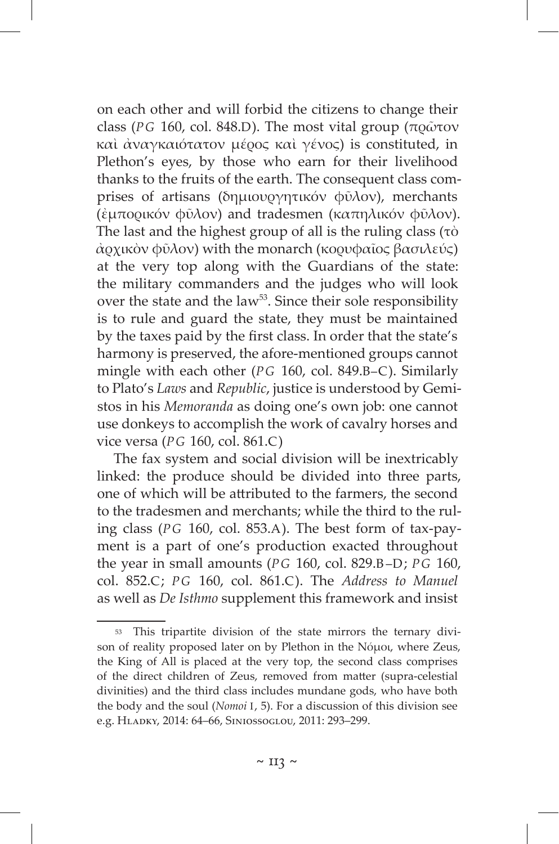on each other and will forbid the citizens to change their class (*PG* 160, col. 848.D). The most vital group (πρῶτον καὶ ἀναγκαιότατον μέρος καὶ γένος) is constituted, in Plethon's eyes, by those who earn for their livelihood thanks to the fruits of the earth. The consequent class comprises of artisans (δημιουργητικόν φῦλον), merchants (ἐμπορικόν φῦλον) and tradesmen (καπηλικόν φῦλον). The last and the highest group of all is the ruling class (τὸ ἀρχικὸν φῦλον) with the monarch (κορυφαῖος βασιλεύς) at the very top along with the Guardians of the state: the military commanders and the judges who will look over the state and the law<sup>53</sup>. Since their sole responsibility is to rule and guard the state, they must be maintained by the taxes paid by the first class. In order that the state's harmony is preserved, the afore-mentioned groups cannot mingle with each other (*PG* 160, col. 849.Β–C). Similarly to Plato's *Laws* and *Republic*, justice is understood by Gemistos in his *Memoranda* as doing one's own job: one cannot use donkeys to accomplish the work of cavalry horses and vice versa (*PG* 160, col. 861.C)

The fax system and social division will be inextricably linked: the produce should be divided into three parts, one of which will be attributed to the farmers, the second to the tradesmen and merchants; while the third to the ruling class (*PG* 160, col. 853.A). The best form of tax-payment is a part of one's production exacted throughout the year in small amounts (*PG* 160, col. 829.B–D; *PG* 160, col. 852.C; *PG* 160, col. 861.C). The *Address to Manuel*  as well as *De Isthmo* supplement this framework and insist

<sup>53</sup> This tripartite division of the state mirrors the ternary divison of reality proposed later on by Plethon in the Nόμοι, where Zeus, the King of All is placed at the very top, the second class comprises of the direct children of Zeus, removed from matter (supra-celestial divinities) and the third class includes mundane gods, who have both the body and the soul (*Nomoi* I, 5). For a discussion of this division see e.g. Hladky, 2014: 64–66, Siniossoglou, 2011: 293–299.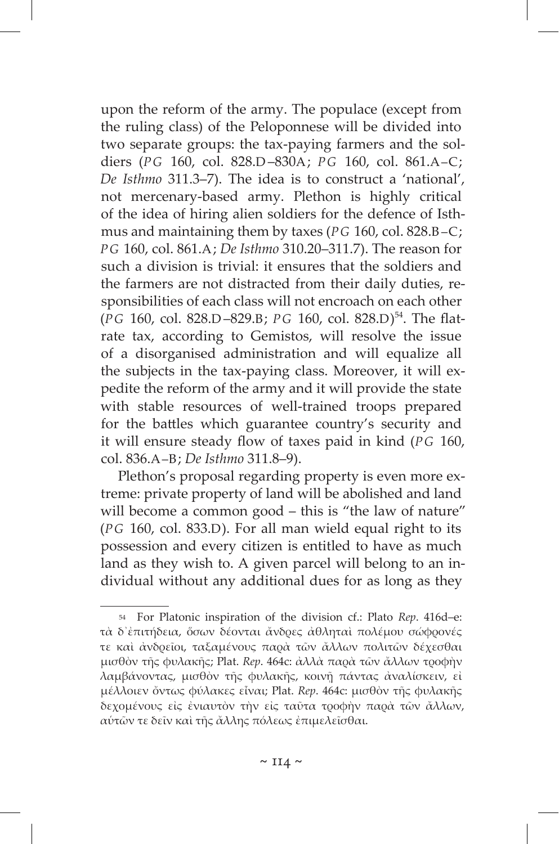upon the reform of the army. The populace (except from the ruling class) of the Peloponnese will be divided into two separate groups: the tax-paying farmers and the soldiers (*PG* 160, col. 828.D –830A; *PG* 160, col. 861.A–C; *De Isthmo* 311.3–7). The idea is to construct a 'national', not mercenary-based army. Plethon is highly critical of the idea of hiring alien soldiers for the defence of Isthmus and maintaining them by taxes (*PG* 160, col. 828.B–C; *PG* 160, col. 861.A; *De Isthmo* 310.20–311.7). The reason for such a division is trivial: it ensures that the soldiers and the farmers are not distracted from their daily duties, responsibilities of each class will not encroach on each other (*PG* 160, col. 828.D –829.B; *PG* 160, col. 828.D) 54. The flatrate tax, according to Gemistos, will resolve the issue of a disorganised administration and will equalize all the subjects in the tax-paying class. Moreover, it will expedite the reform of the army and it will provide the state with stable resources of well-trained troops prepared for the battles which guarantee country's security and it will ensure steady flow of taxes paid in kind (*PG* 160, col. 836.A–B; *De Isthmo* 311.8–9).

Plethon's proposal regarding property is even more extreme: private property of land will be abolished and land will become a common good – this is "the law of nature" (*PG* 160, col. 833.D). For all man wield equal right to its possession and every citizen is entitled to have as much land as they wish to. A given parcel will belong to an individual without any additional dues for as long as they

<sup>54</sup> For Platonic inspiration of the division cf.: Plato *Rep*. 416d–e: τὰ δ᾽ἐπιτήδεια, ὅσων δέονται ἄνδρες ἀθληταὶ πολέμου σώφρονές τε καὶ ἀνδρεῖοι, ταξαμένους παρὰ τῶν ἄλλων πολιτῶν δέχεσθαι μισθὸν τῆς φυλακῆς; Plat. *Rep*. 464c: ἀλλὰ παρὰ τῶν ἄλλων τροφὴν λαμβάνοντας, μισθὸν τῆς φυλακῆς, κοινῇ πάντας ἀναλίσκειν, εἰ μέλλοιεν ὄντως φύλακες εἶναι; Plat. *Rep*. 464c: μισθὸν τῆς φυλακῆς δεχομένους εἰς ἐνιαυτὸν τὴν εἰς ταῦτα τροφὴν παρὰ τῶν ἄλλων, αὑτῶν τε δεῖν καὶ τῆς ἄλλης πόλεως ἐπιμελεῖσθαι.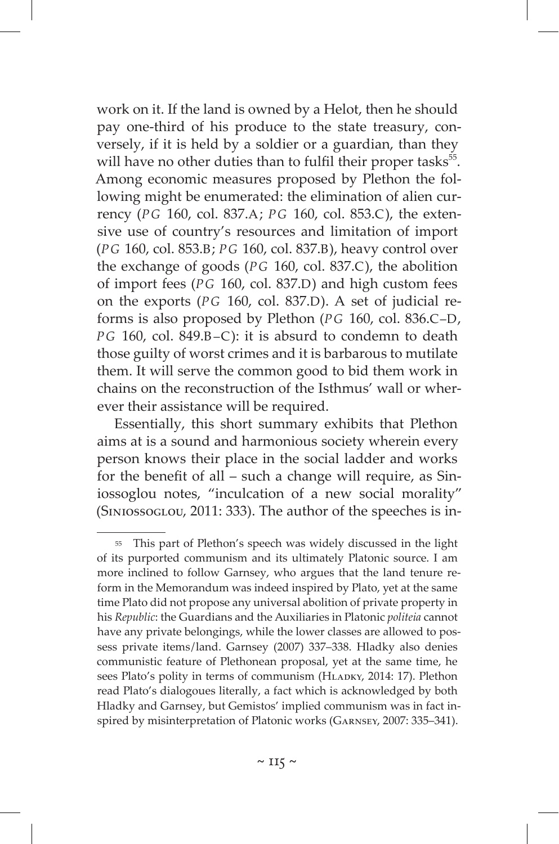work on it. If the land is owned by a Helot, then he should pay one-third of his produce to the state treasury, conversely, if it is held by a soldier or a guardian, than they will have no other duties than to fulfil their proper tasks<sup>55</sup>. Among economic measures proposed by Plethon the following might be enumerated: the elimination of alien currency (*PG* 160, col. 837.A; *PG* 160, col. 853.C), the extensive use of country's resources and limitation of import (*PG* 160, col. 853.B; *PG* 160, col. 837.B), heavy control over the exchange of goods (*PG* 160, col. 837.C), the abolition of import fees (*PG* 160, col. 837.D) and high custom fees on the exports (*PG* 160, col. 837.D). A set of judicial reforms is also proposed by Plethon (*PG* 160, col. 836.C–D, *PG* 160, col. 849.B–C): it is absurd to condemn to death those guilty of worst crimes and it is barbarous to mutilate them. It will serve the common good to bid them work in chains on the reconstruction of the Isthmus' wall or wherever their assistance will be required.

Essentially, this short summary exhibits that Plethon aims at is a sound and harmonious society wherein every person knows their place in the social ladder and works for the benefit of all – such a change will require, as Siniossoglou notes, "inculcation of a new social morality" (Siniossoglou, 2011: 333). The author of the speeches is in-

<sup>55</sup> This part of Plethon's speech was widely discussed in the light of its purported communism and its ultimately Platonic source. I am more inclined to follow Garnsey, who argues that the land tenure reform in the Memorandum was indeed inspired by Plato, yet at the same time Plato did not propose any universal abolition of private property in his *Republic*: the Guardians and the Auxiliaries in Platonic *politeia* cannot have any private belongings, while the lower classes are allowed to possess private items/land. Garnsey (2007) 337-338. Hladky also denies communistic feature of Plethonean proposal, yet at the same time, he sees Plato's polity in terms of communism (HLADKY, 2014: 17). Plethon read Plato's dialogoues literally, a fact which is acknowledged by both Hladky and Garnsey, but Gemistos' implied communism was in fact inspired by misinterpretation of Platonic works (Garnsey, 2007: 335–341).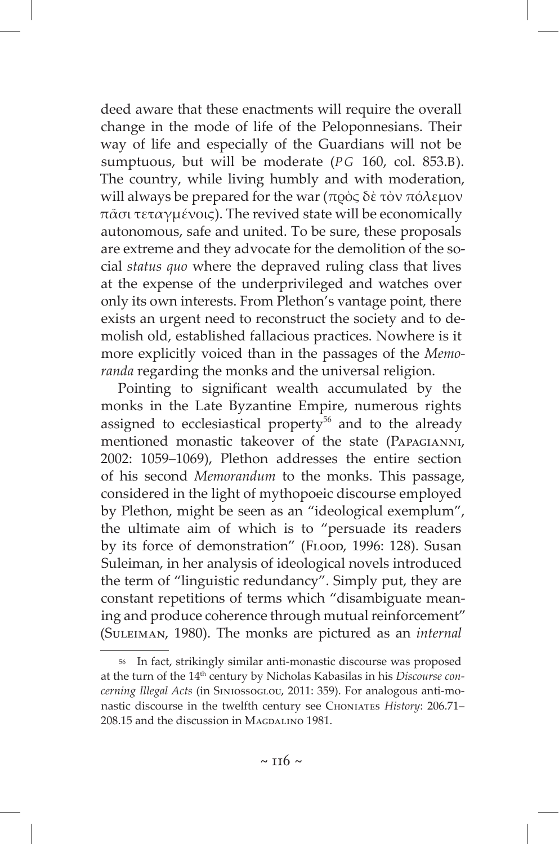deed aware that these enactments will require the overall change in the mode of life of the Peloponnesians. Their way of life and especially of the Guardians will not be sumptuous, but will be moderate (*PG* 160, col. 853.B). The country, while living humbly and with moderation, will always be prepared for the war (πρὸς δὲ τὸν πόλεμον πᾶσι τεταγμένοις). The revived state will be economically autonomous, safe and united. To be sure, these proposals are extreme and they advocate for the demolition of the social *status quo* where the depraved ruling class that lives at the expense of the underprivileged and watches over only its own interests. From Plethon's vantage point, there exists an urgent need to reconstruct the society and to demolish old, established fallacious practices. Nowhere is it more explicitly voiced than in the passages of the *Memoranda* regarding the monks and the universal religion.

Pointing to significant wealth accumulated by the monks in the Late Byzantine Empire, numerous rights assigned to ecclesiastical property<sup>56</sup> and to the already mentioned monastic takeover of the state (Papagianni, 2002: 1059–1069), Plethon addresses the entire section of his second *Memorandum* to the monks. This passage, considered in the light of mythopoeic discourse employed by Plethon, might be seen as an "ideological exemplum", the ultimate aim of which is to "persuade its readers by its force of demonstration" (FLOOD, 1996: 128). Susan Suleiman, in her analysis of ideological novels introduced the term of "linguistic redundancy". Simply put, they are constant repetitions of terms which "disambiguate meaning and produce coherence through mutual reinforcement" (Suleiman, 1980). The monks are pictured as an *internal* 

<sup>56</sup> In fact, strikingly similar anti-monastic discourse was proposed at the turn of the 14th century by Nicholas Kabasilas in his *Discourse concerning Illegal Acts* (in Siniossoglou, 2011: 359). For analogous anti-monastic discourse in the twelfth century see Choniates *History*: 206.71– 208.15 and the discussion in MAGDALINO 1981.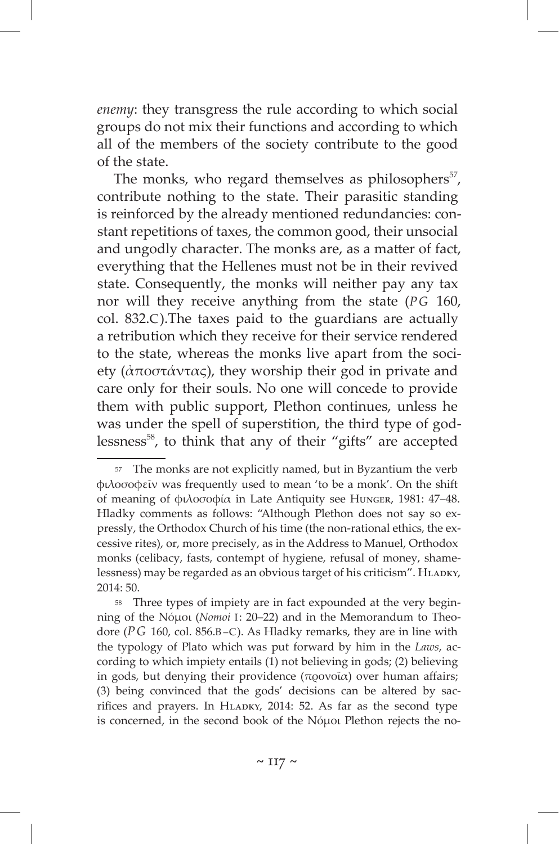*enemy*: they transgress the rule according to which social groups do not mix their functions and according to which all of the members of the society contribute to the good of the state.

The monks, who regard themselves as philosophers $57$ , contribute nothing to the state. Their parasitic standing is reinforced by the already mentioned redundancies: constant repetitions of taxes, the common good, their unsocial and ungodly character. The monks are, as a matter of fact, everything that the Hellenes must not be in their revived state. Consequently, the monks will neither pay any tax nor will they receive anything from the state (*PG* 160, col. 832.C).The taxes paid to the guardians are actually a retribution which they receive for their service rendered to the state, whereas the monks live apart from the society (ἀποστάντας), they worship their god in private and care only for their souls. No one will concede to provide them with public support, Plethon continues, unless he was under the spell of superstition, the third type of godlessness $58$ , to think that any of their "gifts" are accepted

<sup>57</sup> The monks are not explicitly named, but in Byzantium the verb φιλοσοφεῖν was frequently used to mean 'to be a monk'. On the shift of meaning of φιλοσοφία in Late Antiquity see Hunger, 1981: 47–48. Hladky comments as follows: "Although Plethon does not say so expressly, the Orthodox Church of his time (the non-rational ethics, the excessive rites), or, more precisely, as in the Address to Manuel, Orthodox monks (celibacy, fasts, contempt of hygiene, refusal of money, shamelessness) may be regarded as an obvious target of his criticism". HLADKY, 2014: 50.

<sup>58</sup> Three types of impiety are in fact expounded at the very beginning of the Νόμοι (*Nomoi* I: 20–22) and in the Memorandum to Theodore (*PG* 160, col. 856.B–C). As Hladky remarks, they are in line with the typology of Plato which was put forward by him in the *Laws*, according to which impiety entails (1) not believing in gods; (2) believing in gods, but denying their providence (προνοΐα) over human affairs; (3) being convinced that the gods' decisions can be altered by sacrifices and prayers. In HLADKY, 2014: 52. As far as the second type is concerned, in the second book of the Nόμοι Plethon rejects the no-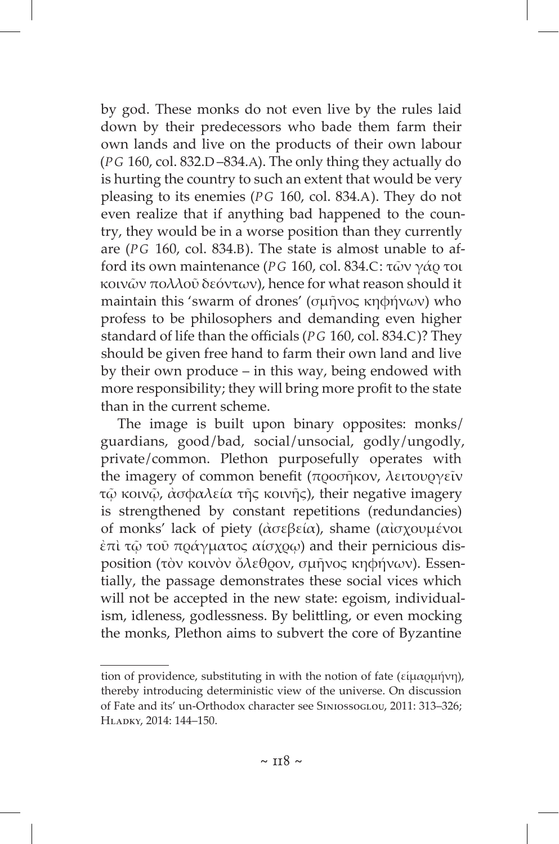by god. These monks do not even live by the rules laid down by their predecessors who bade them farm their own lands and live on the products of their own labour (*PG* 160, col. 832.D –834.Α). The only thing they actually do is hurting the country to such an extent that would be very pleasing to its enemies (*PG* 160, col. 834.A). They do not even realize that if anything bad happened to the country, they would be in a worse position than they currently are (*PG* 160, col. 834.B). The state is almost unable to afford its own maintenance (*PG* 160, col. 834.C: τῶν γάρ τοι κοινῶν πολλοῦ δεόντων), hence for what reason should it maintain this 'swarm of drones' (σμῆνος κηφήνων) who profess to be philosophers and demanding even higher standard of life than the officials (*PG* 160, col. 834.C)? They should be given free hand to farm their own land and live by their own produce – in this way, being endowed with more responsibility; they will bring more profit to the state than in the current scheme.

The image is built upon binary opposites: monks /  guardians, good / bad, social / unsocial, godly / ungodly, private / common. Plethon purposefully operates with the imagery of common benefit (προσήκον, λειτουργεῖν τῷ κοινῷ, ἀσφαλεία τῆς κοινῆς), their negative imagery is strengthened by constant repetitions (redundancies) of monks' lack of piety (ἀσεβεία), shame (αἰσχουμένοι ἐπὶ τῷ τοῦ πράγματος αίσχρῳ) and their pernicious disposition (τὸν κοινὸν ὄλεθρον, σμῆνος κηφήνων). Essentially, the passage demonstrates these social vices which will not be accepted in the new state: egoism, individualism, idleness, godlessness. By belittling, or even mocking the monks, Plethon aims to subvert the core of Byzantine

tion of providence, substituting in with the notion of fate (εἱμαρμήνη), thereby introducing deterministic view of the universe. On discussion of Fate and its' un-Orthodox character see Siniossoglou, 2011: 313–326; Hladky, 2014: 144–150.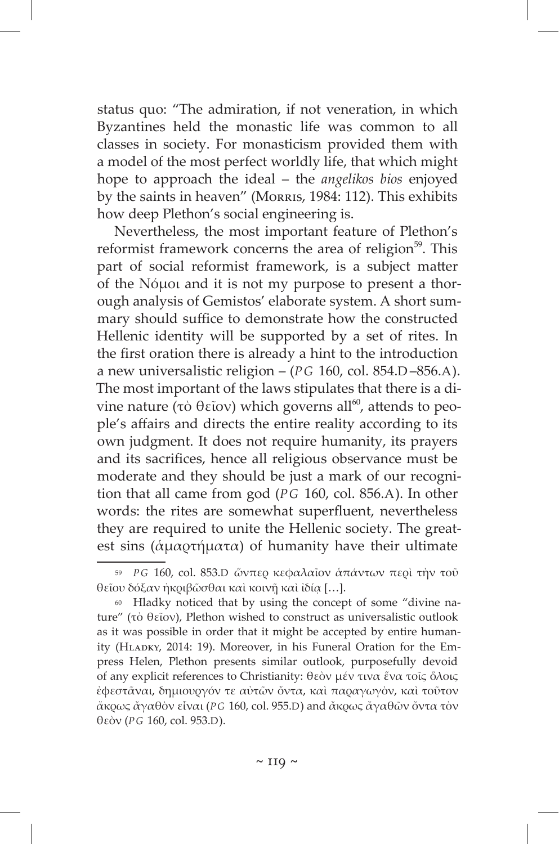status quo: "The admiration, if not veneration, in which Byzantines held the monastic life was common to all classes in society. For monasticism provided them with a model of the most perfect worldly life, that which might hope to approach the ideal – the *angelikos bios* enjoyed by the saints in heaven" (Morris, 1984: 112). This exhibits how deep Plethon's social engineering is.

Nevertheless, the most important feature of Plethon's reformist framework concerns the area of religion<sup>59</sup>. This part of social reformist framework, is a subject matter of the Nόμοι and it is not my purpose to present a thorough analysis of Gemistos' elaborate system. A short summary should suffice to demonstrate how the constructed Hellenic identity will be supported by a set of rites. In the first oration there is already a hint to the introduction a new universalistic religion – (*PG* 160, col. 854.D –856.A). The most important of the laws stipulates that there is a divine nature (τὸ θεῖον) which governs all<sup>60</sup>, attends to people's affairs and directs the entire reality according to its own judgment. It does not require humanity, its prayers and its sacrifices, hence all religious observance must be moderate and they should be just a mark of our recognition that all came from god (*PG* 160, col. 856.A). In other words: the rites are somewhat superfluent, nevertheless they are required to unite the Hellenic society. The greatest sins (ἁμαρτήματα) of humanity have their ultimate

<sup>59</sup> *P G* 160, col. 853.D ὥνπερ κεφαλαῖον ἁπάντων περὶ τὴν τοῦ θεῖου δόξαν ἠκριβῶσθαι καὶ κοινῇ καὶ ἰδίᾳ […].

<sup>60</sup> Hladky noticed that by using the concept of some "divine nature" (τὸ θεῖον), Plethon wished to construct as universalistic outlook as it was possible in order that it might be accepted by entire humanity (HLADKY, 2014: 19). Moreover, in his Funeral Oration for the Empress Helen, Plethon presents similar outlook, purposefully devoid of any explicit references to Christianity: θεὸν μέν τινα ἕνα τοῖς ὅλοις ἐφεστᾶναι, δημιουργόν τε αὐτῶν ὄντα, καὶ παραγωγὸν, καὶ τοῦτον ἄκρως ἄγαθὸν εἶναι (*P G* 160, col. 955.D) and ἄκρως ἄγαθῶν ὄντα τὸν θεὸν (*P G* 160, col. 953.D).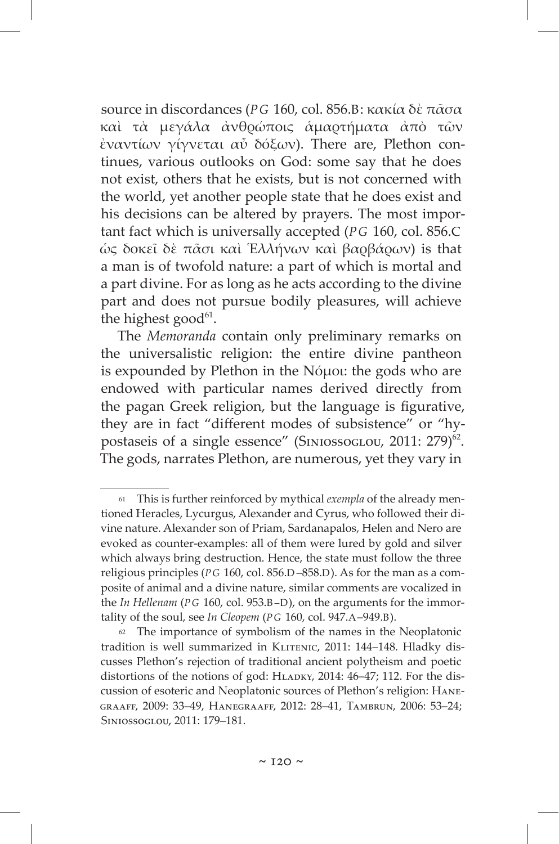source in discordances (*PG* 160, col. 856.B: κακία δὲ πᾶσα καὶ τὰ μεγάλα ἀνθρώποις ἁμαρτήματα ἀπὸ τῶν ἐναντίων γίγνεται αὖ δόξων). There are, Plethon continues, various outlooks on God: some say that he does not exist, others that he exists, but is not concerned with the world, yet another people state that he does exist and his decisions can be altered by prayers. The most important fact which is universally accepted (*PG* 160, col. 856.C ὡς δοκεῖ δὲ πᾶσι καὶ Ἑλλήνων καὶ βαρβάρων) is that a man is of twofold nature: a part of which is mortal and a part divine. For as long as he acts according to the divine part and does not pursue bodily pleasures, will achieve the highest good $61$ .

The *Memoranda* contain only preliminary remarks on the universalistic religion: the entire divine pantheon is expounded by Plethon in the Nόμοι: the gods who are endowed with particular names derived directly from the pagan Greek religion, but the language is figurative, they are in fact "different modes of subsistence" or "hypostaseis of a single essence" (SINIOSSOGLOU, 2011: 279)<sup>62</sup>. The gods, narrates Plethon, are numerous, yet they vary in

<sup>61</sup> This is further reinforced by mythical *exempla* of the already mentioned Heracles, Lycurgus, Alexander and Cyrus, who followed their divine nature. Alexander son of Priam, Sardanapalos, Helen and Nero are evoked as counter-examples: all of them were lured by gold and silver which always bring destruction. Hence, the state must follow the three religious principles (*P G* 160, col. 856.D –858.D). As for the man as a composite of animal and a divine nature, similar comments are vocalized in the *In Hellenam* (*PG* 160, col. 953.B-D), on the arguments for the immortality of the soul, see *In Cleopem* (*P G* 160, col. 947.A–949.B).

<sup>62</sup> The importance of symbolism of the names in the Neoplatonic tradition is well summarized in KLITENIC, 2011: 144-148. Hladky discusses Plethon's rejection of traditional ancient polytheism and poetic distortions of the notions of god: HLADKY, 2014: 46-47; 112. For the discussion of esoteric and Neoplatonic sources of Plethon's religion: Hanegraaff, 2009: 33–49, Hanegraaff, 2012: 28–41, Tambrun, 2006: 53–24; Siniossoglou, 2011: 179–181.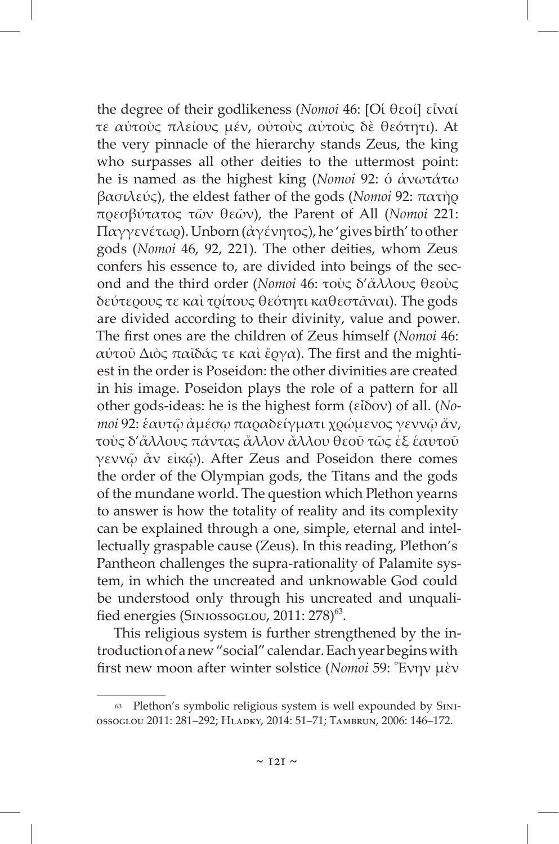the degree of their godlikeness (*Nomoi* 46: [Οἱ θεοί] εἶναί τε αὐτοὺς πλείους μέν, οὐτοὺς αὐτοὺς δὲ θεότητι). At the very pinnacle of the hierarchy stands Zeus, the king who surpasses all other deities to the uttermost point: he is named as the highest king (*Nomoi* 92: ὁ ἀνωτάτω βασιλεύς), the eldest father of the gods (*Nomoi* 92: πατὴρ πρεσβύτατος τῶν θεῶν), the Parent of All (*Nomoi* 221: Παγγενέτωρ). Unborn (ἀγένητος), he 'gives birth' to other gods (*Nomoi* 46, 92, 221). The other deities, whom Zeus confers his essence to, are divided into beings of the second and the third order (*Nomoi* 46: τοὺς δ'ἄλλους θεοὺς δεύτερους τε καὶ τρίτους θεότητι καθεστᾶναι). The gods are divided according to their divinity, value and power. The first ones are the children of Zeus himself (*Nomoi* 46: αὐτοῦ Διὸς παῖδάς τε καὶ ἔργα). The first and the mightiest in the order is Poseidon: the other divinities are created in his image. Poseidon plays the role of a pattern for all other gods-ideas: he is the highest form (εἶδον) of all. (*Νomoi* 92: ἑαυτῷ ἀμέσῳ παραδείγματι χρώμενος γεννῷ ἄν, τοὺς δ'ἄλλους πάντας ἄλλον ἄλλου θεοῦ τῶς ἐξ ἑαυτοῦ γεννῷ ἂν εἰκῷ). After Zeus and Poseidon there comes the order of the Olympian gods, the Titans and the gods of the mundane world. The question which Plethon yearns to answer is how the totality of reality and its complexity can be explained through a one, simple, eternal and intellectually graspable cause (Zeus). In this reading, Plethon's Pantheon challenges the supra-rationality of Palamite system, in which the uncreated and unknowable God could be understood only through his uncreated and unqualified energies (SINIOSSOGLOU, 2011: 278)<sup>63</sup>.

This religious system is further strengthened by the introduction ofanew "social" calendar. Each year begins with first new moon after winter solstice (*Nomoi* 59: Ἕνην μὲν

<sup>63</sup> Plethon's symbolic religious system is well expounded by Siniossoglou 2011: 281–292; Hladky, 2014: 51‒71; Tambrun, 2006: 146–172.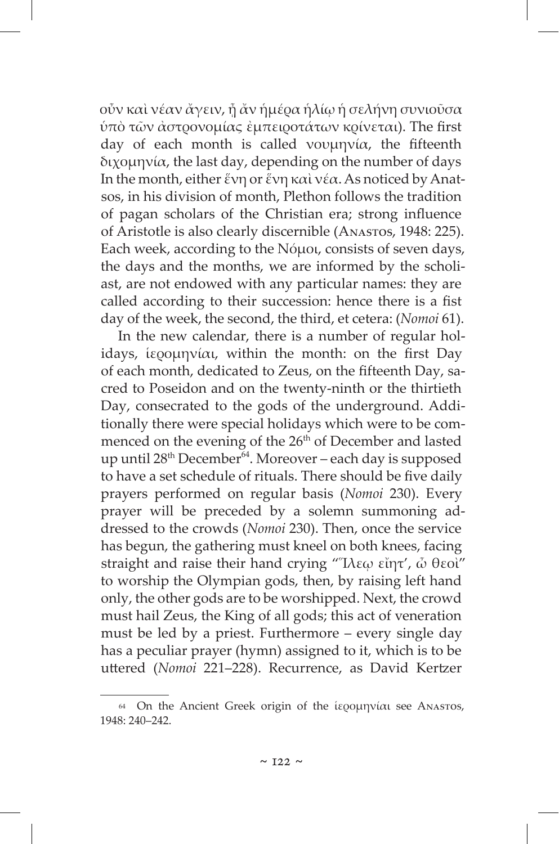οὖν καὶ νέαν ἄγειν, ᾖ ἄν ἡμέρα ἡλίῳ ἡ σελήνη συνιοῦσα ὑπὸ τῶν ἀστρονομίας ἐμπειροτάτων κρίνεται). The first day of each month is called νουμηνία, the fifteenth διχομηνία, the last day, depending on the number of days In the month, either ἕνη or ἕνη καὶ νέα. As noticed by Anatsos, in his division of month, Plethon follows the tradition of pagan scholars of the Christian era; strong influence of Aristotle is also clearly discernible (Anastos, 1948: 225). Each week, according to the Νόμοι, consists of seven days, the days and the months, we are informed by the scholiast, are not endowed with any particular names: they are called according to their succession: hence there is a fist day of the week, the second, the third, et cetera: (*Nomoi* 61).

In the new calendar, there is a number of regular holidays, ἱερομηνίαι, within the month: on the first Day of each month, dedicated to Zeus, on the fifteenth Day, sacred to Poseidon and on the twenty-ninth or the thirtieth Day, consecrated to the gods of the underground. Additionally there were special holidays which were to be commenced on the evening of the 26<sup>th</sup> of December and lasted up until 28<sup>th</sup> December<sup>64</sup>. Moreover – each day is supposed to have a set schedule of rituals. There should be five daily prayers performed on regular basis (*Nomoi* 230). Every prayer will be preceded by a solemn summoning addressed to the crowds (*Nomoi* 230). Then, once the service has begun, the gathering must kneel on both knees, facing straight and raise their hand crying "Ἵλεῳ εἴητ', ὦ θεοὶ" to worship the Olympian gods, then, by raising left hand only, the other gods are to be worshipped. Next, the crowd must hail Zeus, the King of all gods; this act of veneration must be led by a priest. Furthermore – every single day has a peculiar prayer (hymn) assigned to it, which is to be uttered (*Nomoi* 221–228). Recurrence, as David Kertzer

<sup>64</sup> On the Ancient Greek origin of the ἱερομηνίαι see Anastos, 1948: 240–242.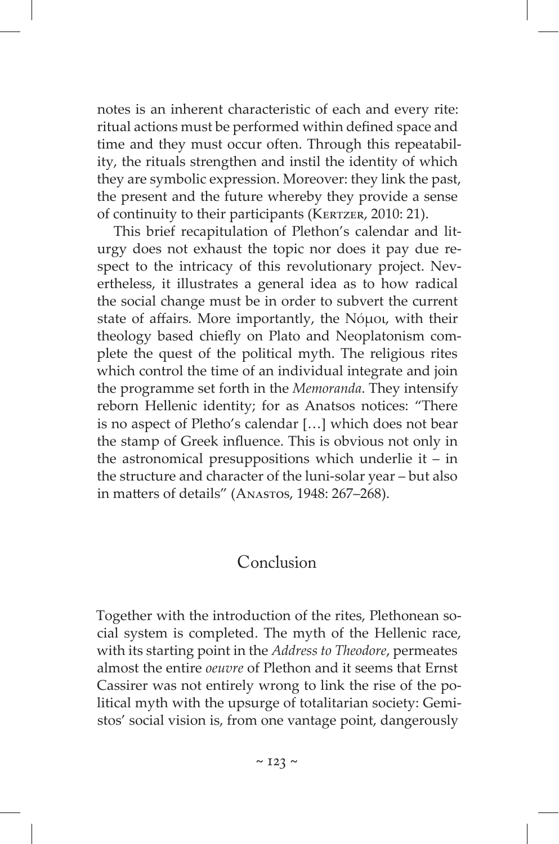notes is an inherent characteristic of each and every rite: ritual actions must be performed within defined space and time and they must occur often. Through this repeatability, the rituals strengthen and instil the identity of which they are symbolic expression. Moreover: they link the past, the present and the future whereby they provide a sense of continuity to their participants (KERTZER, 2010: 21).

This brief recapitulation of Plethon's calendar and liturgy does not exhaust the topic nor does it pay due respect to the intricacy of this revolutionary project. Nevertheless, it illustrates a general idea as to how radical the social change must be in order to subvert the current state of affairs*.* More importantly, the Nόμοι, with their theology based chiefly on Plato and Neoplatonism complete the quest of the political myth. The religious rites which control the time of an individual integrate and join the programme set forth in the *Memoranda*. They intensify reborn Hellenic identity; for as Anatsos notices: "There is no aspect of Pletho's calendar […] which does not bear the stamp of Greek influence. This is obvious not only in the astronomical presuppositions which underlie it – in the structure and character of the luni-solar year – but also in matters of details" (Anastos, 1948: 267–268).

#### Conclusion

Together with the introduction of the rites, Plethonean social system is completed. The myth of the Hellenic race, with its starting point in the *Address to Theodore*, permeates almost the entire *oeuvre* of Plethon and it seems that Ernst Cassirer was not entirely wrong to link the rise of the political myth with the upsurge of totalitarian society: Gemistos' social vision is, from one vantage point, dangerously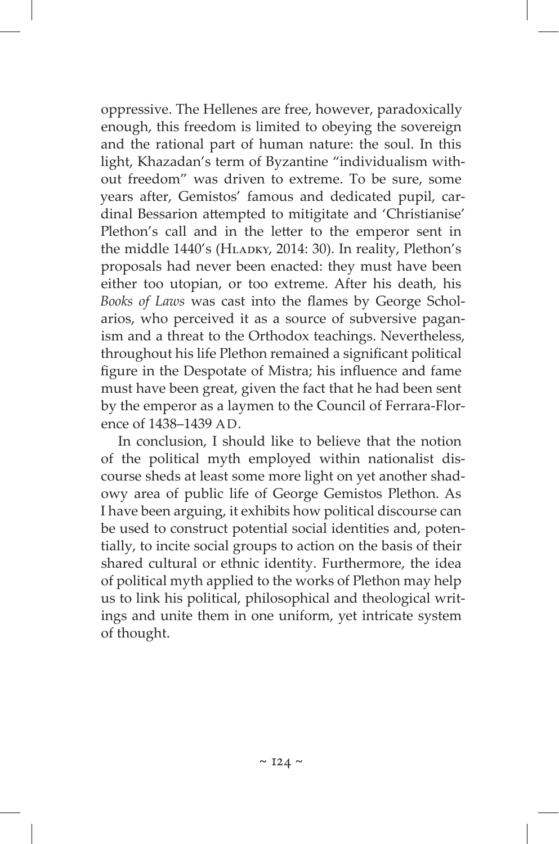oppressive. The Hellenes are free, however, paradoxically enough, this freedom is limited to obeying the sovereign and the rational part of human nature: the soul. In this light, Khazadan's term of Byzantine "individualism without freedom" was driven to extreme. To be sure, some years after, Gemistos' famous and dedicated pupil, cardinal Bessarion attempted to mitigitate and 'Christianise' Plethon's call and in the letter to the emperor sent in the middle 1440's (HLADKY, 2014: 30). In reality, Plethon's proposals had never been enacted: they must have been either too utopian, or too extreme. After his death, his *Books of Laws* was cast into the flames by George Scholarios, who perceived it as a source of subversive paganism and a threat to the Orthodox teachings. Nevertheless, throughout his life Plethon remained a significant political figure in the Despotate of Mistra; his influence and fame must have been great, given the fact that he had been sent by the emperor as a laymen to the Council of Ferrara-Florence of 1438–1439 AD.

In conclusion, I should like to believe that the notion of the political myth employed within nationalist discourse sheds at least some more light on yet another shadowy area of public life of George Gemistos Plethon. As I have been arguing, it exhibits how political discourse can be used to construct potential social identities and, potentially, to incite social groups to action on the basis of their shared cultural or ethnic identity. Furthermore, the idea of political myth applied to the works of Plethon may help us to link his political, philosophical and theological writings and unite them in one uniform, yet intricate system of thought.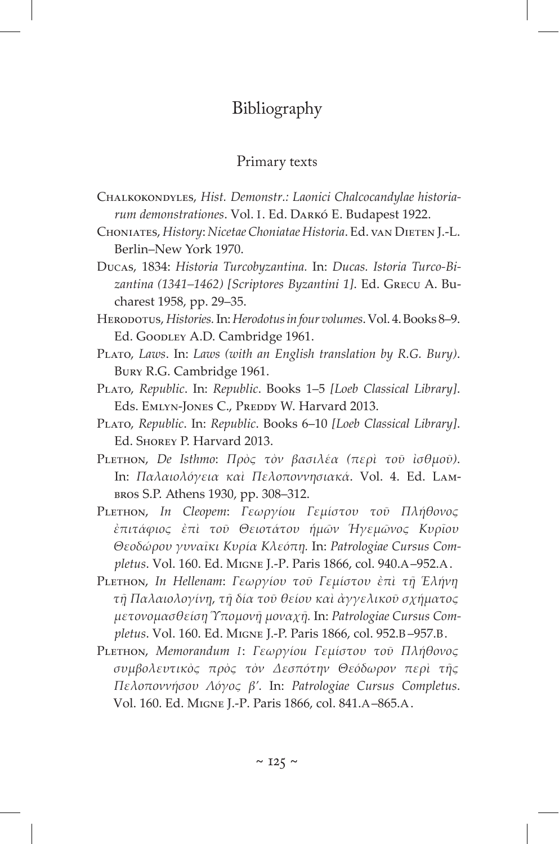### Bibliography

#### Primary texts

- Chalkokondyles, *Hist. Demonstr.: Laonici Chalcocandylae historiarum demonstrationes*. Vol. I. Ed. Darkó E. Budapest 1922.
- Choniates, *History*: *Nicetae Choniatae Historia*. Ed. van Dieten J.-L. Berlin–New York 1970.
- Ducas, 1834: *Historia Turcobyzantina.* In: *Ducas. Istoria Turco-Bizantina (1341–1462) [Scriptores Byzantini 1]*. Ed. Grecu A. Bucharest 1958, pp. 29–35.
- Herodotus, *Histories.* In:*Herodotus in four volumes*. Vol. 4. Books 8‒9. Ed. Goodley A.D. Cambridge 1961.
- Plato, *Laws*. In: *Laws (with an English translation by R.G. Bury)*. Bury R.G. Cambridge 1961.
- PLATO, *Republic*. In: *Republic*. Books 1–5 [Loeb Classical Library]. Eds. EMLYN-JONES C., PREDDY W. Harvard 2013.
- Plato, *Republic*. In: *Republic*. Books 6–10 *[Loeb Classical Library]*. Ed. Shorey P. Harvard 2013.
- Plethon, *De Isthmo*: *Πρὸς τὸν βασιλέα (περὶ τοῦ ἰσθμοῦ)*. In: *Παλαιολόγεια καὶ Πελοποννησιακά*. Vol. 4. Ed. Lambros S.P. Athens 1930, pp. 308–312.
- Plethon, *In Cleopem*: *Γεωργίοu Γεμίστου τοῦ Πλήθονος ἐπιτάφιος ἐπὶ τοῦ Θειοτάτου ἡμῶν Ἡγεμῶνος Κυρῖου Θεοδώρου γυναῖκι Κυρία Κλεόπῃ.* In: *Patrologiae Cursus Completus*. Vol. 160. Ed. Migne J.-P. Paris 1866, col. 940.A–952.A.
- Plethon, *In Hellenam*: *Γεωργίου τοῦ Γεμίστου ἐπὶ τῇ Ἑλήνῃ τῇ Παλαιολογίνῃ*, *τῇ δία τοῦ θείου καὶ ἀγγελικοῦ σχήματος μετονομασθείσῃ Ὑπομονῇ μοναχῇ.* In: *Patrologiae Cursus Completus*. Vol. 160. Ed. Migne J.-P. Paris 1866, col. 952.B –957.B.
- Plethon, *Memorandum I*: *Γεωργίοu Γεμίστου τοῦ Πλήθονος συμβολευτικὸς πρὸς τὸν Δεσπότην Θεόδωρον περὶ τῆς Πελοποννήσου Λόγος β'.* In: *Patrologiae Cursus Completus*. Vol. 160. Ed. Migne J.-P. Paris 1866, col. 841.A–865.A.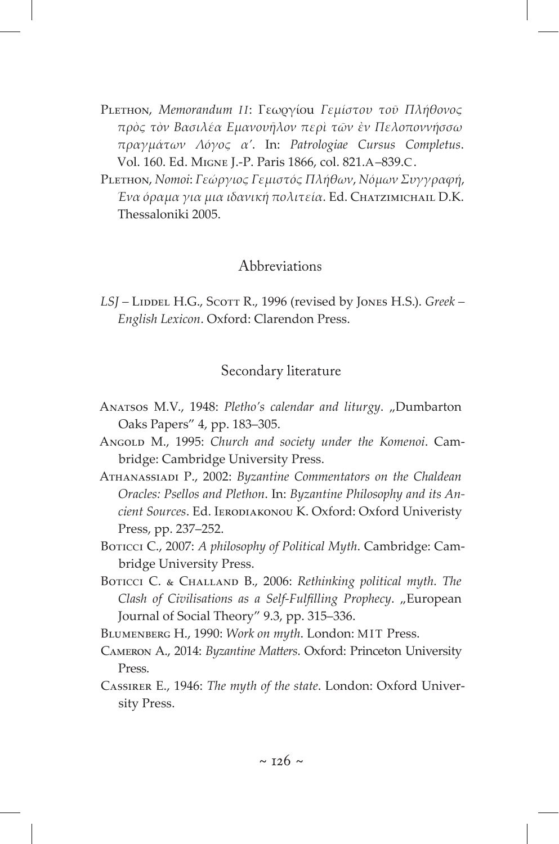PLETHON, *Memorandum ΙΙ*: Γεωργίου Γεμίστου τοῦ Πλήθονος *πρὸς τὸν Βασιλέα Εμανουῆλον περὶ τῶν ἐν Πελοποννήσσω πραγμάτων Λόγος α'*. In: *Patrologiae Cursus Completus*. Vol. 160. Ed. Migne J.-P. Paris 1866, col. 821.A–839.C.

Plethon, *Nomoi*: *Γεώργιος Γεμιστός Πλήθων*, *Νόμων Συγγραφή*, *Ένα όραμα για μια ιδανική πολιτεία*. Ed. Chatzimichail D.K. Thessaloniki 2005.

#### Abbreviations

*LSJ –* Liddel H.G., Scott R., 1996 (revised by Jones H.S.). *Greek – English Lexicon*. Oxford: Clarendon Press.

#### Secondary literature

- ANATSOS M.V., 1948: Pletho's calendar and liturgy. "Dumbarton Oaks Papers" 4, pp. 183-305.
- Angold M., 1995: *Church and society under the Komenoi*. Cambridge: Cambridge University Press.
- Athanassiadi P., 2002: *Byzantine Commentators on the Chaldean Oracles: Psellos and Plethon*. In: *Byzantine Philosophy and its Ancient Sources*. Ed. Ierodiakonou K. Oxford: Oxford Univeristy Press, pp. 237–252.
- Boticci C., 2007: *A philosophy of Political Myth*. Cambridge: Cambridge University Press.
- BOTICCI C. & CHALLAND B., 2006: *Rethinking political myth*. The *Clash of Civilisations as a Self-Fulfilling Prophecy*. "European Journal of Social Theory" 9.3, pp. 315–336.
- Blumenberg H., 1990: *Work on myth*. London: MIT Press.
- Cameron A., 2014: *Byzantine Matters*. Oxford: Princeton University Press.
- Cassirer E., 1946: *The myth of the state*. London: Oxford University Press.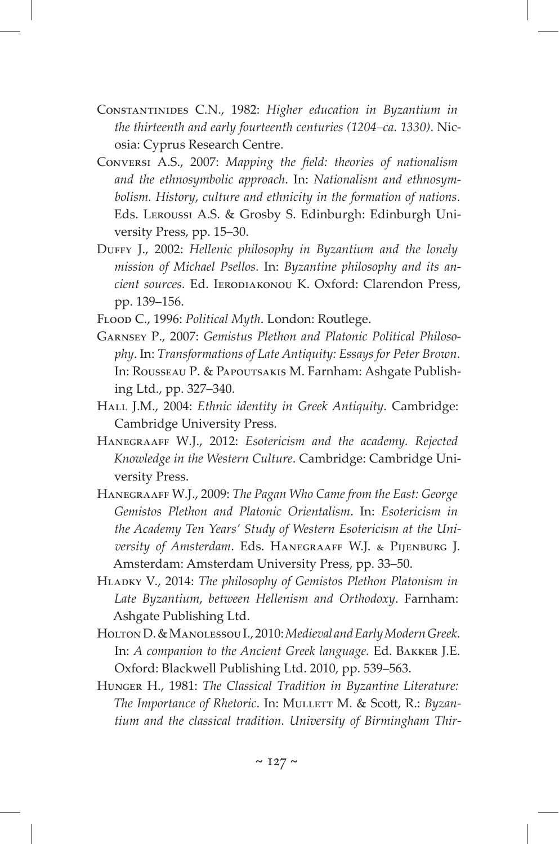- Constantinides C.N., 1982: *Higher education in Byzantium in the thirteenth and early fourteenth centuries (1204–ca. 1330)*. Nicosia: Cyprus Research Centre.
- Conversi A.S., 2007: *Mapping the field: theories of nationalism and the ethnosymbolic approach*. In: *Nationalism and ethnosymbolism. History*, *culture and ethnicity in the formation of nations*. Eds. Leroussi A.S. & Grosby S. Edinburgh: Edinburgh University Press, pp. 15–30.
- Duffy J., 2002: *Hellenic philosophy in Byzantium and the lonely mission of Michael Psellos*. In: *Byzantine philosophy and its an*cient sources. Ed. IERODIAKONOU K. Oxford: Clarendon Press, pp. 139–156.
- Flood C., 1996: *Political Myth*. London: Routlege.
- Garnsey P., 2007: *Gemistus Plethon and Platonic Political Philosophy*. In: *Transformations of Late Antiquity: Essays for Peter Brown*. In: ROUSSEAU P. & PAPOUTSAKIS M. Farnham: Ashgate Publishing Ltd., pp. 327–340.
- Hall J.M., 2004: *Ethnic identity in Greek Antiquity*. Cambridge: Cambridge University Press.
- Hanegraaff W.J., 2012: *Esotericism and the academy. Rejected Knowledge in the Western Culture*. Cambridge: Cambridge University Press.
- Hanegraaff W.J., 2009: *The Pagan Who Came from the East: George Gemistos Plethon and Platonic Orientalism*. In: *Esotericism in the Academy Ten Years' Study of Western Esotericism at the University of Amsterdam*. Eds. Hanegraaff W.J. & Pijenburg J. Amsterdam: Amsterdam University Press, pp. 33–50.
- Hladky V., 2014: *The philosophy of Gemistos Plethon Platonism in Late Byzantium*, *between Hellenism and Orthodoxy*. Farnham: Ashgate Publishing Ltd.
- HoltonD.&ManolessouI., 2010: *Medieval and Early Modern Greek*. In: *A companion to the Ancient Greek language.* Ed. Bakker J.E. Oxford: Blackwell Publishing Ltd. 2010, pp. 539-563.
- Hunger H., 1981: *The Classical Tradition in Byzantine Literature: The Importance of Rhetoric*. In: MULLETT M. & Scott, R.: *Byzantium and the classical tradition. University of Birmingham Thir-*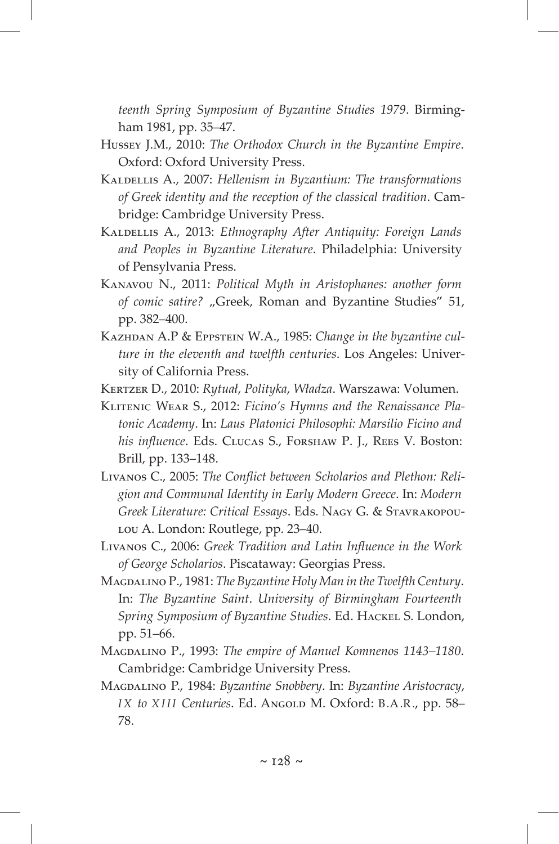*teenth Spring Symposium of Byzantine Studies 1979*. Birmingham 1981, pp. 35–47.

- Hussey J.M., 2010: *The Orthodox Church in the Byzantine Empire*. Oxford: Oxford University Press.
- Kaldellis A., 2007: *Hellenism in Byzantium: The transformations of Greek identity and the reception of the classical tradition*. Cambridge: Cambridge University Press.
- Kaldellis A., 2013: *Ethnography After Antiquity: Foreign Lands and Peoples in Byzantine Literature*. Philadelphia: University of Pensylvania Press.
- Kanavou N., 2011: *Political Myth in Aristophanes: another form of comic satire?* "Greek, Roman and Byzantine Studies" 51, pp. 382–400.
- Kazhdan A.P & Eppstein W.A., 1985: *Change in the byzantine culture in the eleventh and twelfth centuries*. Los Angeles: University of California Press.
- Kertzer D., 2010: *Rytuał*, *Polityka*, *Władza*. Warszawa: Volumen.
- Klitenic Wear S., 2012: *Ficino's Hymns and the Renaissance Platonic Academy*. In: *Laus Platonici Philosophi: Marsilio Ficino and his influence*. Eds. Clucas S., Forshaw P. J., Rees V. Boston: Brill, pp. 133–148.
- Livanos C., 2005: *The Conflict between Scholarios and Plethon: Religion and Communal Identity in Early Modern Greece*. In: *Modern Greek Literature: Critical Essays*. Eds. Nagy G. & Stavrakopou-Lou A. London: Routlege, pp. 23-40.
- Livanos C., 2006: *Greek Tradition and Latin Influence in the Work of George Scholarios*. Piscataway: Georgias Press.
- Magdalino P., 1981: *The Byzantine Holy Man in the Twelfth Century*. In: *The Byzantine Saint*. *University of Birmingham Fourteenth Spring Symposium of Byzantine Studies*. Ed. Hackel S. London, pp. 51–66.
- Magdalino P., 1993: *The empire of Manuel Komnenos 1143–1180*. Cambridge: Cambridge University Press.
- Magdalino P., 1984: *Byzantine Snobbery*. In: *Byzantine Aristocracy*, *IX to XIII Centuries*. Ed. Angold M. Oxford: B.A.R., pp. 58– 78.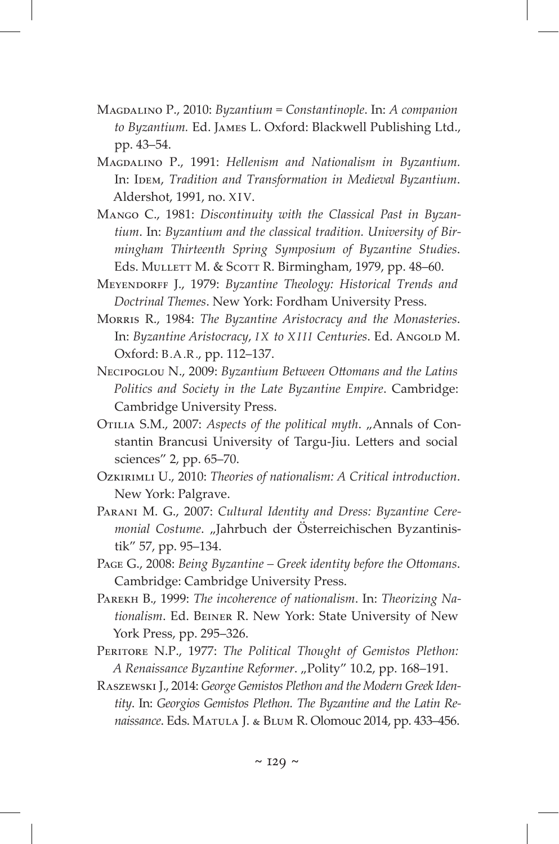- Magdalino P., 2010: *Byzantium = Constantinople*. In: *A companion to Byzantium.* Ed. James L. Oxford: Blackwell Publishing Ltd., pp. 43–54.
- Magdalino P., 1991: *Hellenism and Nationalism in Byzantium.* In: IDEM, *Tradition and Transformation in Medieval Byzantium*. Aldershot, 1991, no. XIV.
- Mango C., 1981: *Discontinuity with the Classical Past in Byzantium*. In: *Byzantium and the classical tradition. University of Birmingham Thirteenth Spring Symposium of Byzantine Studies*. Eds. Mullett M. & Scott R. Birmingham, 1979, pp. 48–60.
- Meyendorff J., 1979: *Byzantine Theology: Historical Trends and Doctrinal Themes*. New York: Fordham University Press.
- Morris R., 1984: *The Byzantine Aristocracy and the Monasteries*. In: Byzantine Aristocracy, *IX to XIII Centuries*. Ed. AngoLD M. Oxford: B.A.R., pp. 112–137.
- Necipoglou N., 2009: *Byzantium Between Ottomans and the Latins Politics and Society in the Late Byzantine Empire*. Cambridge: Cambridge University Press.
- OTILIA S.M., 2007: *Aspects of the political myth.* "Annals of Constantin Brancusi University of Targu-Jiu. Letters and social sciences" 2, pp. 65–70.
- Ozkirimli U., 2010: *Theories of nationalism: A Critical introduction*. New York: Palgrave.
- Parani M. G., 2007: *Cultural Identity and Dress: Byzantine Ceremonial Costume*. "Jahrbuch der Österreichischen Byzantinistik" 57, pp. 95–134.
- Page G., 2008: *Being Byzantine Greek identity before the Ottomans*. Cambridge: Cambridge University Press.
- Parekh B., 1999: *The incoherence of nationalism*. In: *Theorizing Nationalism*. Ed. Beiner R. New York: State University of New York Press, pp. 295-326.
- PERITORE N.P., 1977: *The Political Thought of Gemistos Plethon: A* Renaissance Byzantine Reformer. "Polity" 10.2, pp. 168-191.
- Raszewski J., 2014: *George Gemistos Plethon and the Modern Greek Identity*. In: *Georgios Gemistos Plethon. The Byzantine and the Latin Renaissance*. Eds. Matula J. & Blum R. Olomouc 2014, pp. 433–456.